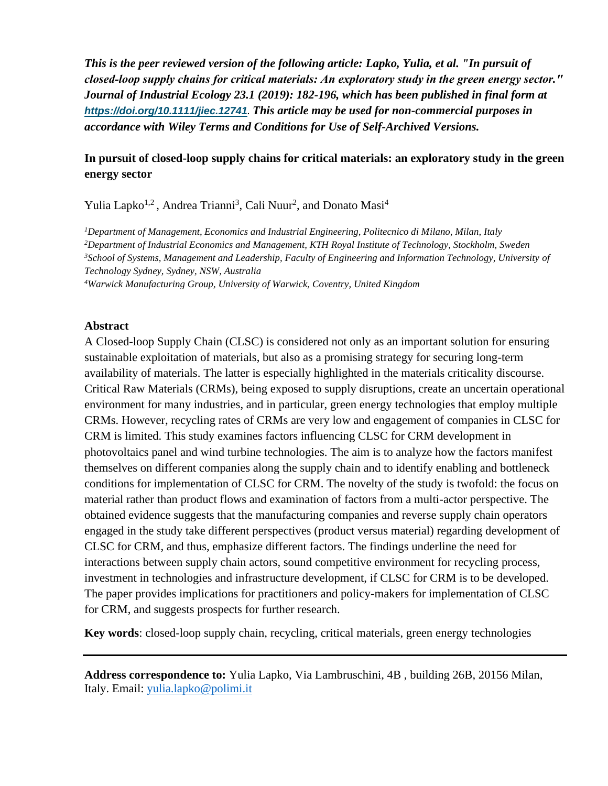*This is the peer reviewed version of the following article: Lapko, Yulia, et al. "In pursuit of closed‐loop supply chains for critical materials: An exploratory study in the green energy sector." Journal of Industrial Ecology 23.1 (2019): 182-196, which has been published in final form at <https://doi.org/10.1111/jiec.12741>. This article may be used for non-commercial purposes in accordance with Wiley Terms and Conditions for Use of Self-Archived Versions.*

# **In pursuit of closed-loop supply chains for critical materials: an exploratory study in the green energy sector**

Yulia Lapko<sup>1,2</sup>, Andrea Trianni<sup>3</sup>, Cali Nuur<sup>2</sup>, and Donato Masi<sup>4</sup>

*Department of Management, Economics and Industrial Engineering, Politecnico di Milano, Milan, Italy Department of Industrial Economics and Management, KTH Royal Institute of Technology, Stockholm, Sweden School of Systems, Management and Leadership, Faculty of Engineering and Information Technology, University of Technology Sydney, Sydney, NSW, Australia Warwick Manufacturing Group, University of Warwick, Coventry, United Kingdom*

### **Abstract**

A Closed-loop Supply Chain (CLSC) is considered not only as an important solution for ensuring sustainable exploitation of materials, but also as a promising strategy for securing long-term availability of materials. The latter is especially highlighted in the materials criticality discourse. Critical Raw Materials (CRMs), being exposed to supply disruptions, create an uncertain operational environment for many industries, and in particular, green energy technologies that employ multiple CRMs. However, recycling rates of CRMs are very low and engagement of companies in CLSC for CRM is limited. This study examines factors influencing CLSC for CRM development in photovoltaics panel and wind turbine technologies. The aim is to analyze how the factors manifest themselves on different companies along the supply chain and to identify enabling and bottleneck conditions for implementation of CLSC for CRM. The novelty of the study is twofold: the focus on material rather than product flows and examination of factors from a multi-actor perspective. The obtained evidence suggests that the manufacturing companies and reverse supply chain operators engaged in the study take different perspectives (product versus material) regarding development of CLSC for CRM, and thus, emphasize different factors. The findings underline the need for interactions between supply chain actors, sound competitive environment for recycling process, investment in technologies and infrastructure development, if CLSC for CRM is to be developed. The paper provides implications for practitioners and policy-makers for implementation of CLSC for CRM, and suggests prospects for further research.

**Key words**: closed-loop supply chain, recycling, critical materials, green energy technologies

**Address correspondence to:** Yulia Lapko, Via Lambruschini, 4B , building 26B, 20156 Milan, Italy. Email: [yulia.lapko@polimi.it](mailto:yulia.lapko@polimi.it)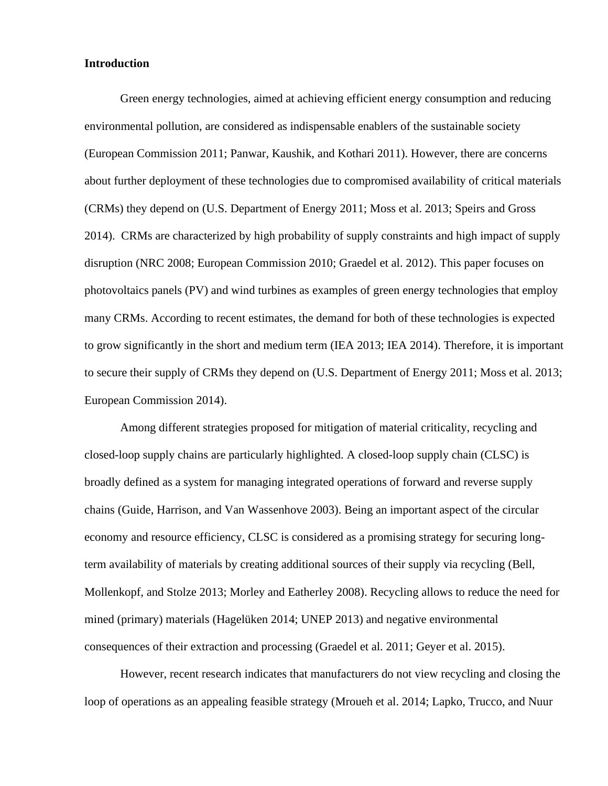### **Introduction**

Green energy technologies, aimed at achieving efficient energy consumption and reducing environmental pollution, are considered as indispensable enablers of the sustainable society (European Commission 2011; Panwar, Kaushik, and Kothari 2011). However, there are concerns about further deployment of these technologies due to compromised availability of critical materials (CRMs) they depend on (U.S. Department of Energy 2011; Moss et al. 2013; Speirs and Gross 2014). CRMs are characterized by high probability of supply constraints and high impact of supply disruption (NRC 2008; European Commission 2010; Graedel et al. 2012). This paper focuses on photovoltaics panels (PV) and wind turbines as examples of green energy technologies that employ many CRMs. According to recent estimates, the demand for both of these technologies is expected to grow significantly in the short and medium term (IEA 2013; IEA 2014). Therefore, it is important to secure their supply of CRMs they depend on (U.S. Department of Energy 2011; Moss et al. 2013; European Commission 2014).

Among different strategies proposed for mitigation of material criticality, recycling and closed-loop supply chains are particularly highlighted. A closed-loop supply chain (CLSC) is broadly defined as a system for managing integrated operations of forward and reverse supply chains (Guide, Harrison, and Van Wassenhove 2003). Being an important aspect of the circular economy and resource efficiency, CLSC is considered as a promising strategy for securing longterm availability of materials by creating additional sources of their supply via recycling (Bell, Mollenkopf, and Stolze 2013; Morley and Eatherley 2008). Recycling allows to reduce the need for mined (primary) materials (Hagelüken 2014; UNEP 2013) and negative environmental consequences of their extraction and processing (Graedel et al. 2011; Geyer et al. 2015).

However, recent research indicates that manufacturers do not view recycling and closing the loop of operations as an appealing feasible strategy (Mroueh et al. 2014; Lapko, Trucco, and Nuur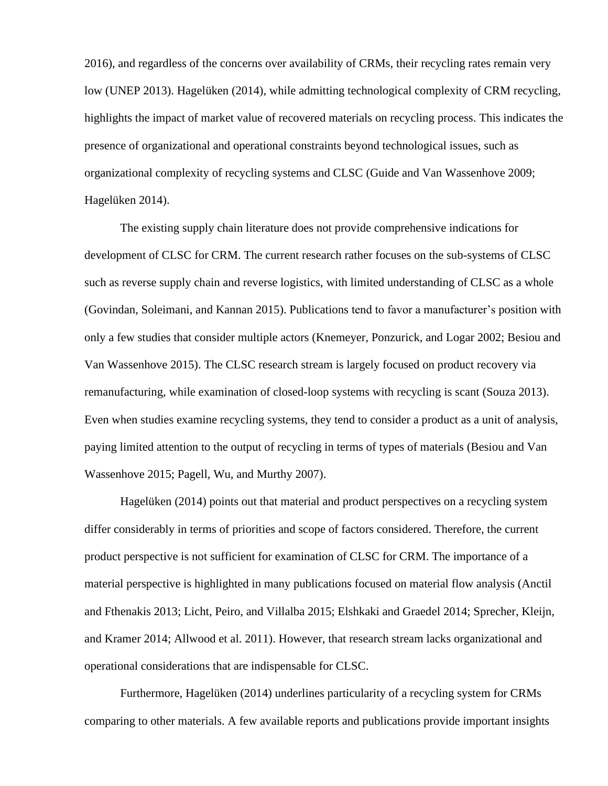2016), and regardless of the concerns over availability of CRMs, their recycling rates remain very low (UNEP 2013). Hagelüken (2014), while admitting technological complexity of CRM recycling, highlights the impact of market value of recovered materials on recycling process. This indicates the presence of organizational and operational constraints beyond technological issues, such as organizational complexity of recycling systems and CLSC (Guide and Van Wassenhove 2009; Hagelüken 2014).

The existing supply chain literature does not provide comprehensive indications for development of CLSC for CRM. The current research rather focuses on the sub-systems of CLSC such as reverse supply chain and reverse logistics, with limited understanding of CLSC as a whole (Govindan, Soleimani, and Kannan 2015). Publications tend to favor a manufacturer's position with only a few studies that consider multiple actors (Knemeyer, Ponzurick, and Logar 2002; Besiou and Van Wassenhove 2015). The CLSC research stream is largely focused on product recovery via remanufacturing, while examination of closed-loop systems with recycling is scant (Souza 2013). Even when studies examine recycling systems, they tend to consider a product as a unit of analysis, paying limited attention to the output of recycling in terms of types of materials (Besiou and Van Wassenhove 2015; Pagell, Wu, and Murthy 2007).

Hagelüken (2014) points out that material and product perspectives on a recycling system differ considerably in terms of priorities and scope of factors considered. Therefore, the current product perspective is not sufficient for examination of CLSC for CRM. The importance of a material perspective is highlighted in many publications focused on material flow analysis (Anctil and Fthenakis 2013; Licht, Peiro, and Villalba 2015; Elshkaki and Graedel 2014; Sprecher, Kleijn, and Kramer 2014; Allwood et al. 2011). However, that research stream lacks organizational and operational considerations that are indispensable for CLSC.

Furthermore, Hagelüken (2014) underlines particularity of a recycling system for CRMs comparing to other materials. A few available reports and publications provide important insights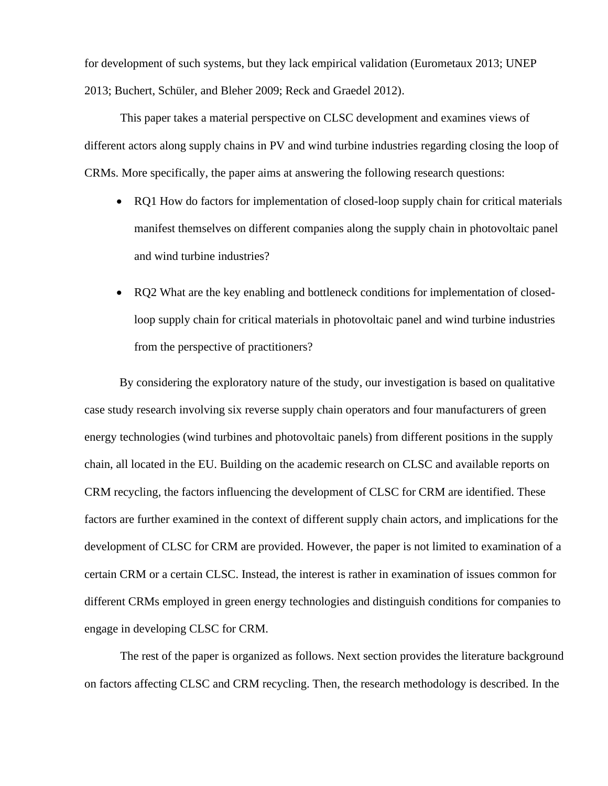for development of such systems, but they lack empirical validation (Eurometaux 2013; UNEP 2013; Buchert, Schüler, and Bleher 2009; Reck and Graedel 2012).

This paper takes a material perspective on CLSC development and examines views of different actors along supply chains in PV and wind turbine industries regarding closing the loop of CRMs. More specifically, the paper aims at answering the following research questions:

- RQ1 How do factors for implementation of closed-loop supply chain for critical materials manifest themselves on different companies along the supply chain in photovoltaic panel and wind turbine industries?
- RO2 What are the key enabling and bottleneck conditions for implementation of closedloop supply chain for critical materials in photovoltaic panel and wind turbine industries from the perspective of practitioners?

By considering the exploratory nature of the study, our investigation is based on qualitative case study research involving six reverse supply chain operators and four manufacturers of green energy technologies (wind turbines and photovoltaic panels) from different positions in the supply chain, all located in the EU. Building on the academic research on CLSC and available reports on CRM recycling, the factors influencing the development of CLSC for CRM are identified. These factors are further examined in the context of different supply chain actors, and implications for the development of CLSC for CRM are provided. However, the paper is not limited to examination of a certain CRM or a certain CLSC. Instead, the interest is rather in examination of issues common for different CRMs employed in green energy technologies and distinguish conditions for companies to engage in developing CLSC for CRM.

The rest of the paper is organized as follows. Next section provides the literature background on factors affecting CLSC and CRM recycling. Then, the research methodology is described. In the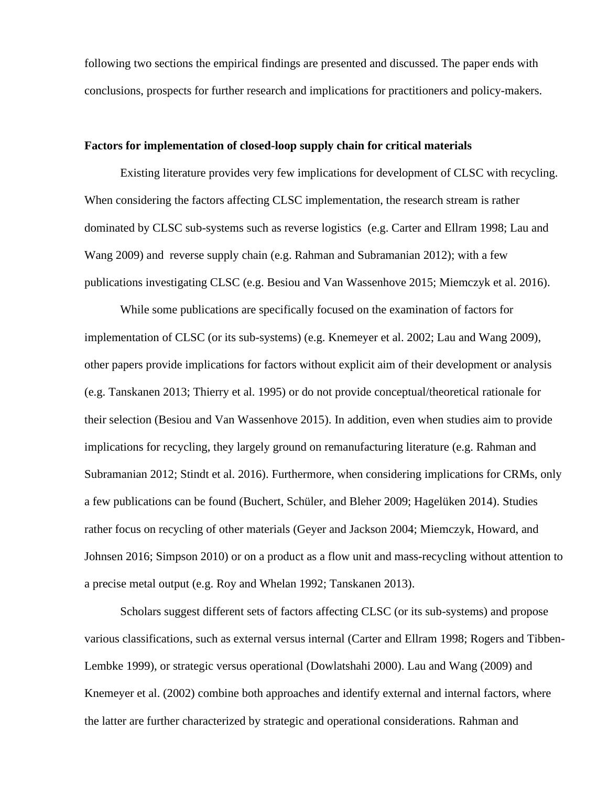following two sections the empirical findings are presented and discussed. The paper ends with conclusions, prospects for further research and implications for practitioners and policy-makers.

### **Factors for implementation of closed-loop supply chain for critical materials**

Existing literature provides very few implications for development of CLSC with recycling. When considering the factors affecting CLSC implementation, the research stream is rather dominated by CLSC sub-systems such as reverse logistics (e.g. Carter and Ellram 1998; Lau and Wang 2009) and reverse supply chain (e.g. Rahman and Subramanian 2012); with a few publications investigating CLSC (e.g. Besiou and Van Wassenhove 2015; Miemczyk et al. 2016).

While some publications are specifically focused on the examination of factors for implementation of CLSC (or its sub-systems) (e.g. Knemeyer et al. 2002; Lau and Wang 2009), other papers provide implications for factors without explicit aim of their development or analysis (e.g. Tanskanen 2013; Thierry et al. 1995) or do not provide conceptual/theoretical rationale for their selection (Besiou and Van Wassenhove 2015). In addition, even when studies aim to provide implications for recycling, they largely ground on remanufacturing literature (e.g. Rahman and Subramanian 2012; Stindt et al. 2016). Furthermore, when considering implications for CRMs, only a few publications can be found (Buchert, Schüler, and Bleher 2009; Hagelüken 2014). Studies rather focus on recycling of other materials (Geyer and Jackson 2004; Miemczyk, Howard, and Johnsen 2016; Simpson 2010) or on a product as a flow unit and mass-recycling without attention to a precise metal output (e.g. Roy and Whelan 1992; Tanskanen 2013).

Scholars suggest different sets of factors affecting CLSC (or its sub-systems) and propose various classifications, such as external versus internal (Carter and Ellram 1998; Rogers and Tibben-Lembke 1999), or strategic versus operational (Dowlatshahi 2000). Lau and Wang (2009) and Knemeyer et al. (2002) combine both approaches and identify external and internal factors, where the latter are further characterized by strategic and operational considerations. Rahman and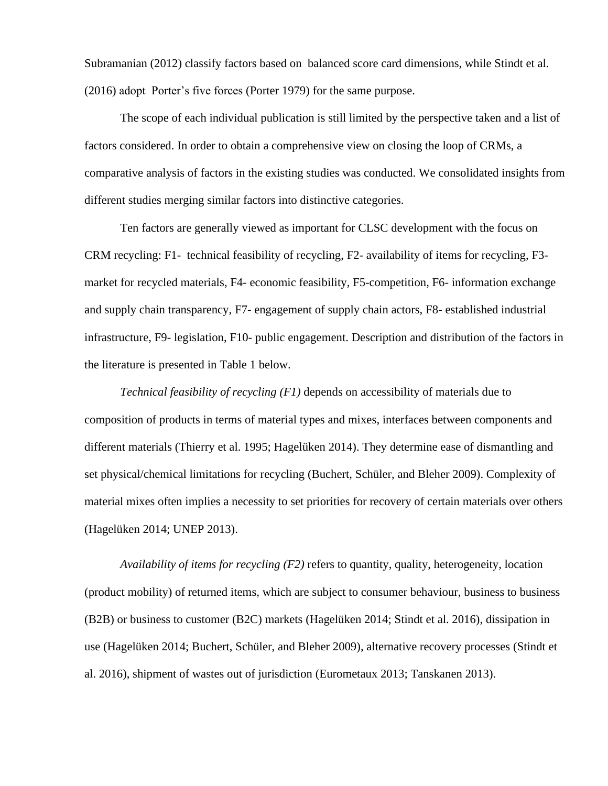Subramanian (2012) classify factors based on balanced score card dimensions, while Stindt et al. (2016) adopt Porter's five forces (Porter 1979) for the same purpose.

The scope of each individual publication is still limited by the perspective taken and a list of factors considered. In order to obtain a comprehensive view on closing the loop of CRMs, a comparative analysis of factors in the existing studies was conducted. We consolidated insights from different studies merging similar factors into distinctive categories.

Ten factors are generally viewed as important for CLSC development with the focus on CRM recycling: F1- technical feasibility of recycling, F2- availability of items for recycling, F3 market for recycled materials, F4- economic feasibility, F5-competition, F6- information exchange and supply chain transparency, F7- engagement of supply chain actors, F8- established industrial infrastructure, F9- legislation, F10- public engagement. Description and distribution of the factors in the literature is presented in Table 1 below.

*Technical feasibility of recycling (F1)* depends on accessibility of materials due to composition of products in terms of material types and mixes, interfaces between components and different materials (Thierry et al. 1995; Hagelüken 2014). They determine ease of dismantling and set physical/chemical limitations for recycling (Buchert, Schüler, and Bleher 2009). Complexity of material mixes often implies a necessity to set priorities for recovery of certain materials over others (Hagelüken 2014; UNEP 2013).

*Availability of items for recycling (F2)* refers to quantity, quality, heterogeneity, location (product mobility) of returned items, which are subject to consumer behaviour, business to business (B2B) or business to customer (B2C) markets (Hagelüken 2014; Stindt et al. 2016), dissipation in use (Hagelüken 2014; Buchert, Schüler, and Bleher 2009), alternative recovery processes (Stindt et al. 2016), shipment of wastes out of jurisdiction (Eurometaux 2013; Tanskanen 2013).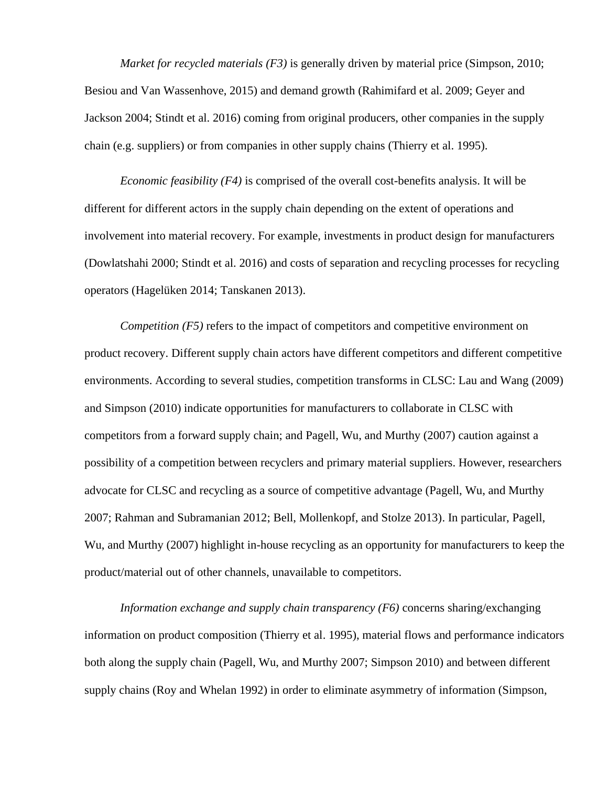*Market for recycled materials (F3)* is generally driven by material price (Simpson, 2010; Besiou and Van Wassenhove, 2015) and demand growth (Rahimifard et al. 2009; Geyer and Jackson 2004; Stindt et al. 2016) coming from original producers, other companies in the supply chain (e.g. suppliers) or from companies in other supply chains (Thierry et al. 1995).

*Economic feasibility (F4)* is comprised of the overall cost-benefits analysis. It will be different for different actors in the supply chain depending on the extent of operations and involvement into material recovery. For example, investments in product design for manufacturers (Dowlatshahi 2000; Stindt et al. 2016) and costs of separation and recycling processes for recycling operators (Hagelüken 2014; Tanskanen 2013).

*Competition* (*F5*) refers to the impact of competitors and competitive environment on product recovery. Different supply chain actors have different competitors and different competitive environments. According to several studies, competition transforms in CLSC: Lau and Wang (2009) and Simpson (2010) indicate opportunities for manufacturers to collaborate in CLSC with competitors from a forward supply chain; and Pagell, Wu, and Murthy (2007) caution against a possibility of a competition between recyclers and primary material suppliers. However, researchers advocate for CLSC and recycling as a source of competitive advantage (Pagell, Wu, and Murthy 2007; Rahman and Subramanian 2012; Bell, Mollenkopf, and Stolze 2013). In particular, Pagell, Wu, and Murthy (2007) highlight in-house recycling as an opportunity for manufacturers to keep the product/material out of other channels, unavailable to competitors.

*Information exchange and supply chain transparency (F6)* concerns sharing/exchanging information on product composition (Thierry et al. 1995), material flows and performance indicators both along the supply chain (Pagell, Wu, and Murthy 2007; Simpson 2010) and between different supply chains (Roy and Whelan 1992) in order to eliminate asymmetry of information (Simpson,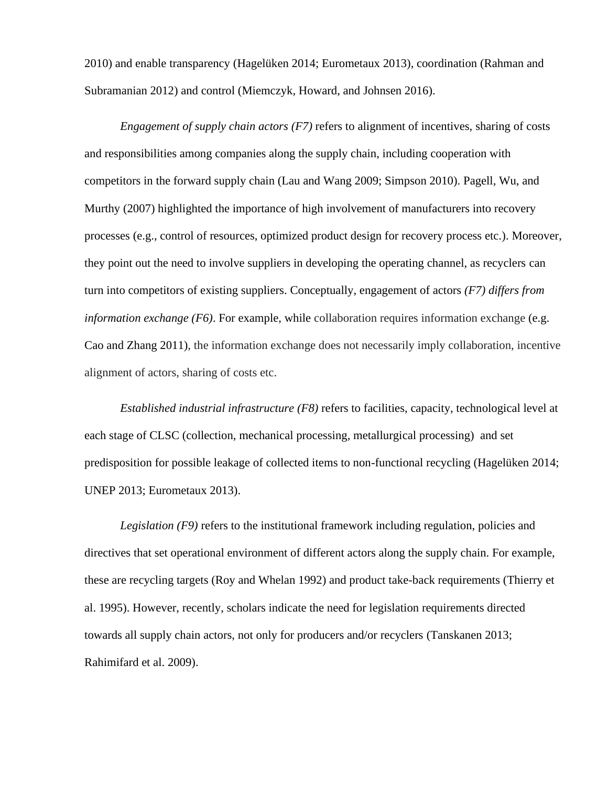2010) and enable transparency (Hagelüken 2014; Eurometaux 2013), coordination (Rahman and Subramanian 2012) and control (Miemczyk, Howard, and Johnsen 2016).

*Engagement of supply chain actors (F7)* refers to alignment of incentives, sharing of costs and responsibilities among companies along the supply chain, including cooperation with competitors in the forward supply chain (Lau and Wang 2009; Simpson 2010). Pagell, Wu, and Murthy (2007) highlighted the importance of high involvement of manufacturers into recovery processes (e.g., control of resources, optimized product design for recovery process etc.). Moreover, they point out the need to involve suppliers in developing the operating channel, as recyclers can turn into competitors of existing suppliers. Conceptually, engagement of actors *(F7) differs from information exchange (F6)*. For example, while collaboration requires information exchange (e.g. Cao and Zhang 2011), the information exchange does not necessarily imply collaboration, incentive alignment of actors, sharing of costs etc.

*Established industrial infrastructure (F8)* refers to facilities, capacity, technological level at each stage of CLSC (collection, mechanical processing, metallurgical processing) and set predisposition for possible leakage of collected items to non-functional recycling (Hagelüken 2014; UNEP 2013; Eurometaux 2013).

*Legislation (F9)* refers to the institutional framework including regulation, policies and directives that set operational environment of different actors along the supply chain. For example, these are recycling targets (Roy and Whelan 1992) and product take-back requirements (Thierry et al. 1995). However, recently, scholars indicate the need for legislation requirements directed towards all supply chain actors, not only for producers and/or recyclers (Tanskanen 2013; Rahimifard et al. 2009).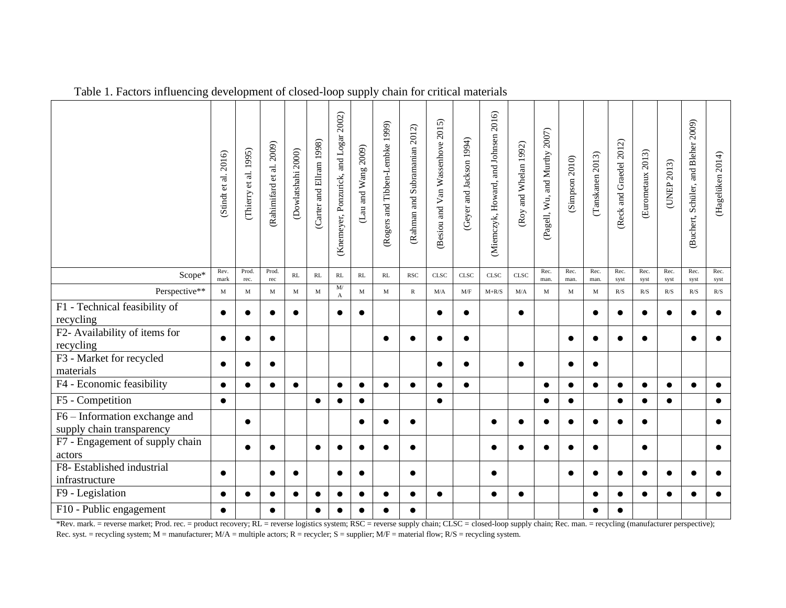|                                                            | (Stindt et al. 2016) | al. 1995)<br>$\mathfrak{c}$<br>(Thierry | (Rahimifard et al. 2009) | (Dowlatshahi 2000) | (Carter and Ellram 1998) | 2002)<br>(Knemeyer, Ponzurick, and Logar | (Lau and Wang $2009$ ) | (Rogers and Tibben-Lembke 1999) | (Rahman and Subramanian 2012) | (Besiou and Van Wassenhove 2015) | (Geyer and Jackson 1994)                                    | (Miemczyk, Howard, and Johnsen 2016) | (Roy and Whelan 1992) | (Pagell, Wu, and Murthy 2007) | (Simpson 2010) | (Tanskanen 2013) | (Reck and Graedel 2012) | (Eurometaux 2013) | (UNEP 2013)  | (Buchert, Schüler, and Bleher 2009) | (Hagelüken 2014) |
|------------------------------------------------------------|----------------------|-----------------------------------------|--------------------------|--------------------|--------------------------|------------------------------------------|------------------------|---------------------------------|-------------------------------|----------------------------------|-------------------------------------------------------------|--------------------------------------|-----------------------|-------------------------------|----------------|------------------|-------------------------|-------------------|--------------|-------------------------------------|------------------|
| Scope*                                                     | Rev.<br>mark         | Prod.<br>rec.                           | Prod.<br>rec             | RL                 | $\mathbf{RL}$            | RL                                       | RL                     | RL                              | <b>RSC</b>                    | <b>CLSC</b>                      | <b>CLSC</b>                                                 | <b>CLSC</b>                          | <b>CLSC</b>           | Rec.<br>man.                  | Rec.<br>man.   | Rec.<br>man.     | Rec.<br>syst            | Rec.<br>syst      | Rec.<br>syst | Rec.<br>syst                        | Rec.<br>syst     |
| Perspective**                                              | $\mathbf M$          | $\mathbf M$                             | M                        | M                  | M                        | M/<br>A                                  | $\mathbf{M}$           | M                               | $\mathbb{R}$                  | M/A                              | $\ensuremath{\text{M}}\xspace/\ensuremath{\text{F}}\xspace$ | $M+R/S$                              | M/A                   | M                             | $\mathbf{M}$   | $\mathbf M$      | R/S                     | R/S               | R/S          | R/S                                 | R/S              |
| F1 - Technical feasibility of<br>recycling                 | $\bullet$            |                                         | $\bullet$                | $\bullet$          |                          |                                          | $\bullet$              |                                 |                               |                                  |                                                             |                                      | $\bullet$             |                               |                | $\bullet$        |                         |                   |              |                                     | $\bullet$        |
| F2- Availability of items for<br>recycling                 | $\bullet$            |                                         | $\bullet$                |                    |                          |                                          |                        | $\bullet$                       |                               |                                  | $\bullet$                                                   |                                      |                       |                               | $\bullet$      | $\bullet$        | e                       | $\bullet$         |              | $\bullet$                           | $\bullet$        |
| F3 - Market for recycled<br>materials                      | $\bullet$            |                                         | $\bullet$                |                    |                          |                                          |                        |                                 |                               |                                  |                                                             |                                      |                       |                               |                | $\bullet$        |                         |                   |              |                                     |                  |
| F4 - Economic feasibility                                  | $\bullet$            | $\bullet$                               | $\bullet$                | $\bullet$          |                          | $\bullet$                                | $\bullet$              | $\bullet$                       | $\bullet$                     | $\bullet$                        | $\bullet$                                                   |                                      |                       | $\bullet$                     | $\bullet$      | $\bullet$        | $\bullet$               | $\bullet$         | $\bullet$    | $\bullet$                           | $\bullet$        |
| F5 - Competition                                           | $\bullet$            |                                         |                          |                    | $\bullet$                |                                          | $\bullet$              |                                 |                               | $\bullet$                        |                                                             |                                      |                       | $\bullet$                     | $\bullet$      |                  | $\bullet$               | $\bullet$         | $\bullet$    |                                     | $\bullet$        |
| F6 – Information exchange and<br>supply chain transparency |                      | $\bullet$                               |                          |                    |                          |                                          | $\bullet$              |                                 |                               |                                  |                                                             |                                      |                       | $\bullet$                     |                | $\bullet$        |                         | $\bullet$         |              |                                     | $\bullet$        |
| F7 - Engagement of supply chain<br>actors                  |                      |                                         | $\bullet$                |                    | $\bullet$                |                                          |                        |                                 |                               |                                  |                                                             |                                      |                       |                               |                |                  |                         | $\bullet$         |              |                                     | $\bullet$        |
| F8- Established industrial<br>infrastructure               | $\bullet$            |                                         | $\bullet$                | $\bullet$          |                          |                                          | $\bullet$              |                                 | ●                             |                                  |                                                             |                                      |                       |                               | $\bullet$      | $\bullet$        |                         |                   |              |                                     | $\bullet$        |
| F9 - Legislation                                           | $\bullet$            | $\bullet$                               | $\bullet$                | $\bullet$          | $\bullet$                |                                          | $\bullet$              | $\bullet$                       | ●                             | $\bullet$                        |                                                             | $\bullet$                            | $\bullet$             |                               |                | $\bullet$        | $\bullet$               | ●                 | $\bullet$    |                                     | $\bullet$        |
| F10 - Public engagement                                    | $\bullet$            |                                         | $\bullet$                |                    | $\bullet$                |                                          |                        |                                 |                               |                                  |                                                             |                                      |                       |                               |                | $\bullet$        |                         |                   |              |                                     |                  |

Table 1. Factors influencing development of closed-loop supply chain for critical materials

\*Rev. mark. = reverse market; Prod. rec. = product recovery; RL = reverse logistics system; RSC = reverse supply chain; CLSC = closed-loop supply chain; Rec. man. = recycling (manufacturer perspective); Rec. syst. = recycling system; M = manufacturer; M/A = multiple actors; R = recycler; S = supplier; M/F = material flow; R/S = recycling system.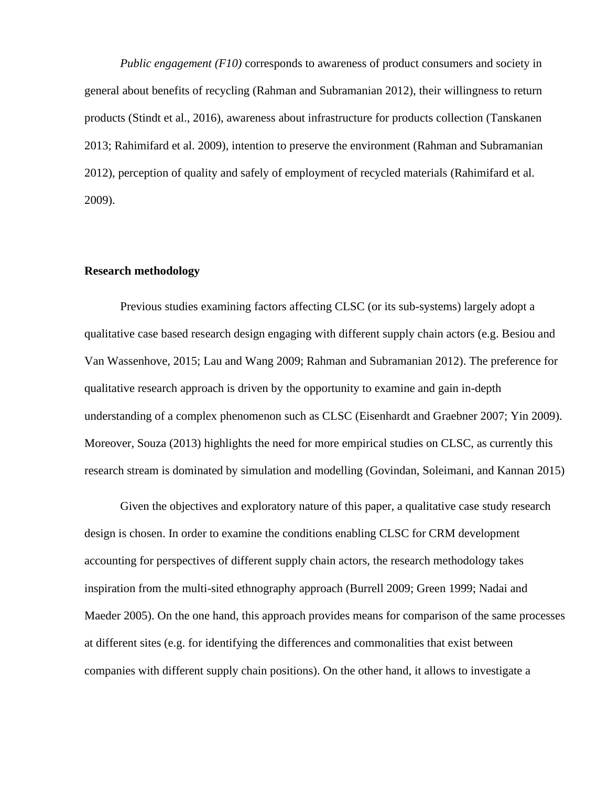*Public engagement (F10)* corresponds to awareness of product consumers and society in general about benefits of recycling (Rahman and Subramanian 2012), their willingness to return products (Stindt et al., 2016), awareness about infrastructure for products collection (Tanskanen 2013; Rahimifard et al. 2009), intention to preserve the environment (Rahman and Subramanian 2012), perception of quality and safely of employment of recycled materials (Rahimifard et al. 2009).

### **Research methodology**

Previous studies examining factors affecting CLSC (or its sub-systems) largely adopt a qualitative case based research design engaging with different supply chain actors (e.g. Besiou and Van Wassenhove, 2015; Lau and Wang 2009; Rahman and Subramanian 2012). The preference for qualitative research approach is driven by the opportunity to examine and gain in-depth understanding of a complex phenomenon such as CLSC (Eisenhardt and Graebner 2007; Yin 2009). Moreover, Souza (2013) highlights the need for more empirical studies on CLSC, as currently this research stream is dominated by simulation and modelling (Govindan, Soleimani, and Kannan 2015)

Given the objectives and exploratory nature of this paper, a qualitative case study research design is chosen. In order to examine the conditions enabling CLSC for CRM development accounting for perspectives of different supply chain actors, the research methodology takes inspiration from the multi-sited ethnography approach (Burrell 2009; Green 1999; Nadai and Maeder 2005). On the one hand, this approach provides means for comparison of the same processes at different sites (e.g. for identifying the differences and commonalities that exist between companies with different supply chain positions). On the other hand, it allows to investigate a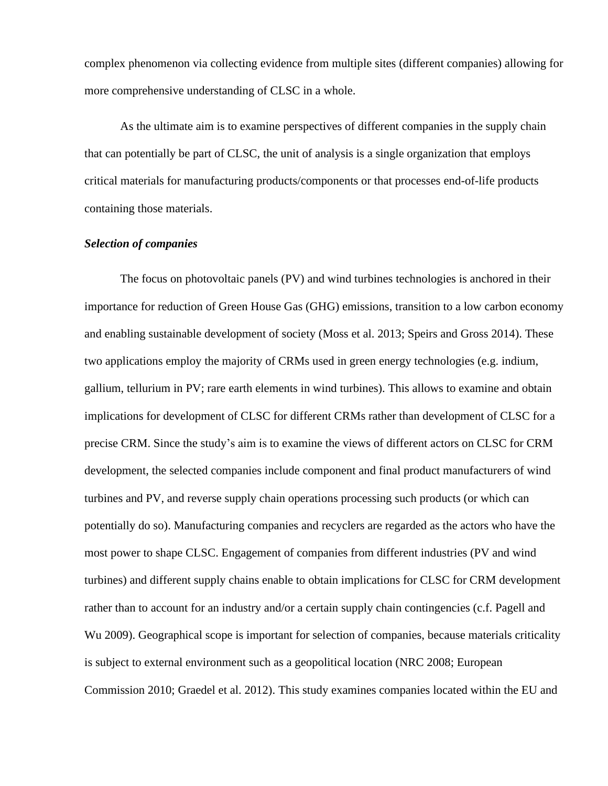complex phenomenon via collecting evidence from multiple sites (different companies) allowing for more comprehensive understanding of CLSC in a whole.

As the ultimate aim is to examine perspectives of different companies in the supply chain that can potentially be part of CLSC, the unit of analysis is a single organization that employs critical materials for manufacturing products/components or that processes end-of-life products containing those materials.

### *Selection of companies*

The focus on photovoltaic panels (PV) and wind turbines technologies is anchored in their importance for reduction of Green House Gas (GHG) emissions, transition to a low carbon economy and enabling sustainable development of society (Moss et al. 2013; Speirs and Gross 2014). These two applications employ the majority of CRMs used in green energy technologies (e.g. indium, gallium, tellurium in PV; rare earth elements in wind turbines). This allows to examine and obtain implications for development of CLSC for different CRMs rather than development of CLSC for a precise CRM. Since the study's aim is to examine the views of different actors on CLSC for CRM development, the selected companies include component and final product manufacturers of wind turbines and PV, and reverse supply chain operations processing such products (or which can potentially do so). Manufacturing companies and recyclers are regarded as the actors who have the most power to shape CLSC. Engagement of companies from different industries (PV and wind turbines) and different supply chains enable to obtain implications for CLSC for CRM development rather than to account for an industry and/or a certain supply chain contingencies (c.f. Pagell and Wu 2009). Geographical scope is important for selection of companies, because materials criticality is subject to external environment such as a geopolitical location (NRC 2008; European Commission 2010; Graedel et al. 2012). This study examines companies located within the EU and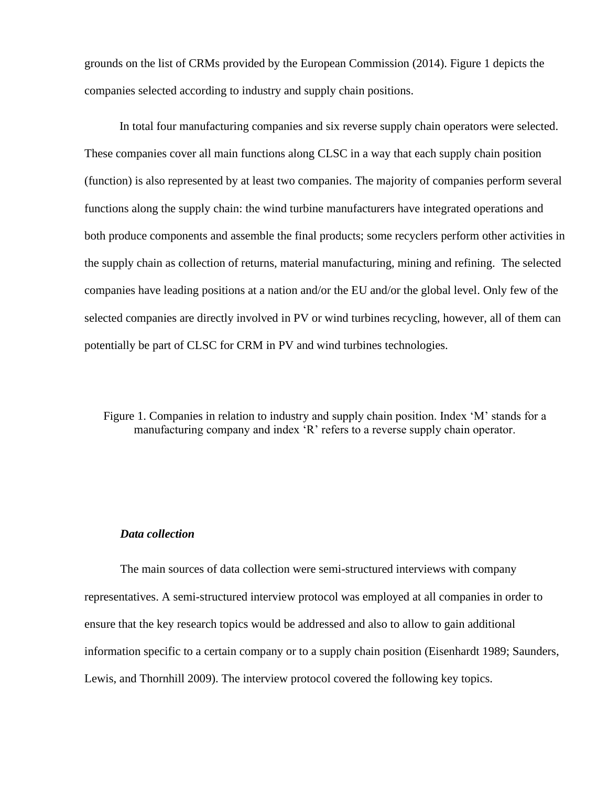grounds on the list of CRMs provided by the European Commission (2014). Figure 1 depicts the companies selected according to industry and supply chain positions.

In total four manufacturing companies and six reverse supply chain operators were selected. These companies cover all main functions along CLSC in a way that each supply chain position (function) is also represented by at least two companies. The majority of companies perform several functions along the supply chain: the wind turbine manufacturers have integrated operations and both produce components and assemble the final products; some recyclers perform other activities in the supply chain as collection of returns, material manufacturing, mining and refining. The selected companies have leading positions at a nation and/or the EU and/or the global level. Only few of the selected companies are directly involved in PV or wind turbines recycling, however, all of them can potentially be part of CLSC for CRM in PV and wind turbines technologies.

Figure 1. Companies in relation to industry and supply chain position. Index 'M' stands for a manufacturing company and index 'R' refers to a reverse supply chain operator.

### *Data collection*

The main sources of data collection were semi-structured interviews with company representatives. A semi-structured interview protocol was employed at all companies in order to ensure that the key research topics would be addressed and also to allow to gain additional information specific to a certain company or to a supply chain position (Eisenhardt 1989; Saunders, Lewis, and Thornhill 2009). The interview protocol covered the following key topics.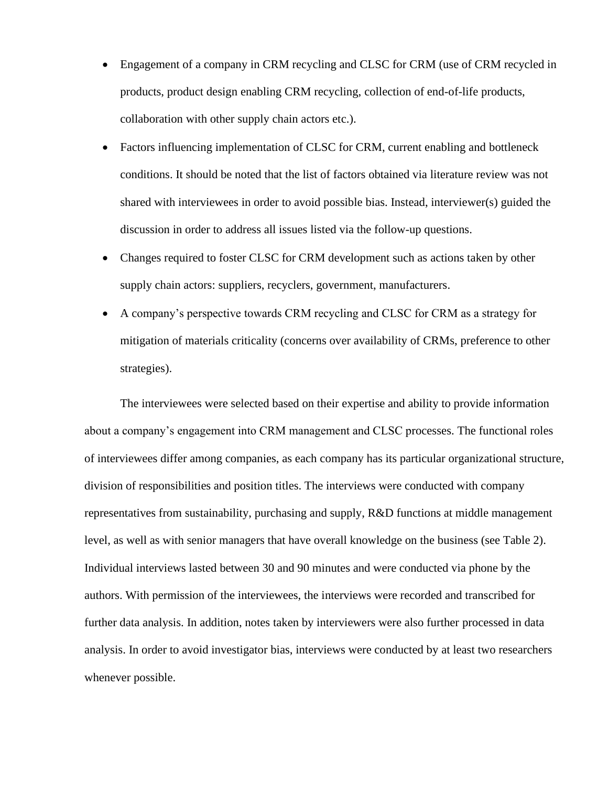- Engagement of a company in CRM recycling and CLSC for CRM (use of CRM recycled in products, product design enabling CRM recycling, collection of end-of-life products, collaboration with other supply chain actors etc.).
- Factors influencing implementation of CLSC for CRM, current enabling and bottleneck conditions. It should be noted that the list of factors obtained via literature review was not shared with interviewees in order to avoid possible bias. Instead, interviewer(s) guided the discussion in order to address all issues listed via the follow-up questions.
- Changes required to foster CLSC for CRM development such as actions taken by other supply chain actors: suppliers, recyclers, government, manufacturers.
- A company's perspective towards CRM recycling and CLSC for CRM as a strategy for mitigation of materials criticality (concerns over availability of CRMs, preference to other strategies).

The interviewees were selected based on their expertise and ability to provide information about a company's engagement into CRM management and CLSC processes. The functional roles of interviewees differ among companies, as each company has its particular organizational structure, division of responsibilities and position titles. The interviews were conducted with company representatives from sustainability, purchasing and supply, R&D functions at middle management level, as well as with senior managers that have overall knowledge on the business (see Table 2). Individual interviews lasted between 30 and 90 minutes and were conducted via phone by the authors. With permission of the interviewees, the interviews were recorded and transcribed for further data analysis. In addition, notes taken by interviewers were also further processed in data analysis. In order to avoid investigator bias, interviews were conducted by at least two researchers whenever possible.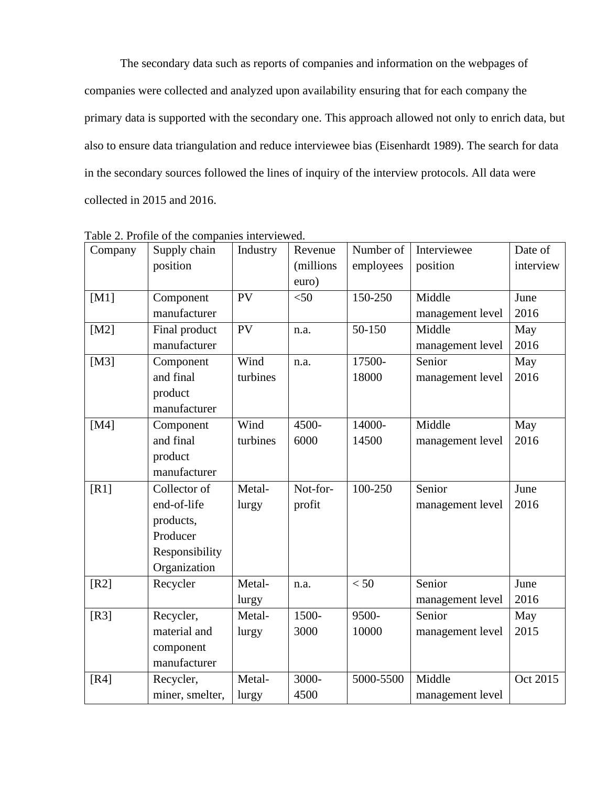The secondary data such as reports of companies and information on the webpages of companies were collected and analyzed upon availability ensuring that for each company the primary data is supported with the secondary one. This approach allowed not only to enrich data, but also to ensure data triangulation and reduce interviewee bias (Eisenhardt 1989). The search for data in the secondary sources followed the lines of inquiry of the interview protocols. All data were collected in 2015 and 2016.

| Company | Supply chain<br>Industry<br>Revenue |          |           | Number of | Interviewee      | Date of   |
|---------|-------------------------------------|----------|-----------|-----------|------------------|-----------|
|         | position                            |          | (millions | employees | position         | interview |
|         |                                     |          | euro)     |           |                  |           |
| [M1]    | Component                           | PV       | $<$ 50    | 150-250   | Middle           | June      |
|         | manufacturer                        |          |           |           | management level | 2016      |
| [M2]    | Final product                       | PV       | n.a.      | 50-150    | Middle           | May       |
|         | manufacturer                        |          |           |           | management level | 2016      |
| [M3]    | Component                           | Wind     | n.a.      | 17500-    | Senior           | May       |
|         | and final                           | turbines |           | 18000     | management level | 2016      |
|         | product                             |          |           |           |                  |           |
|         | manufacturer                        |          |           |           |                  |           |
| [M4]    | Component                           | Wind     | 4500-     | 14000-    | Middle           | May       |
|         | and final                           | turbines | 6000      | 14500     | management level | 2016      |
|         | product                             |          |           |           |                  |           |
|         | manufacturer                        |          |           |           |                  |           |
| [R1]    | Collector of                        | Metal-   | Not-for-  | 100-250   | Senior           | June      |
|         | end-of-life                         | lurgy    | profit    |           | management level | 2016      |
|         | products,                           |          |           |           |                  |           |
|         | Producer                            |          |           |           |                  |           |
|         | Responsibility                      |          |           |           |                  |           |
|         | Organization                        |          |           |           |                  |           |
| [R2]    | Recycler                            | Metal-   | n.a.      | < 50      | Senior           | June      |
|         |                                     | lurgy    |           |           | management level | 2016      |
| [R3]    | Recycler,                           | Metal-   | 1500-     | 9500-     | Senior           | May       |
|         | material and                        | lurgy    | 3000      | 10000     | management level | 2015      |
|         | component                           |          |           |           |                  |           |
|         | manufacturer                        |          |           |           |                  |           |
| [R4]    | Recycler,                           | Metal-   | 3000-     | 5000-5500 | Middle           | Oct 2015  |
|         | miner, smelter,                     | lurgy    | 4500      |           | management level |           |

Table 2. Profile of the companies interviewed.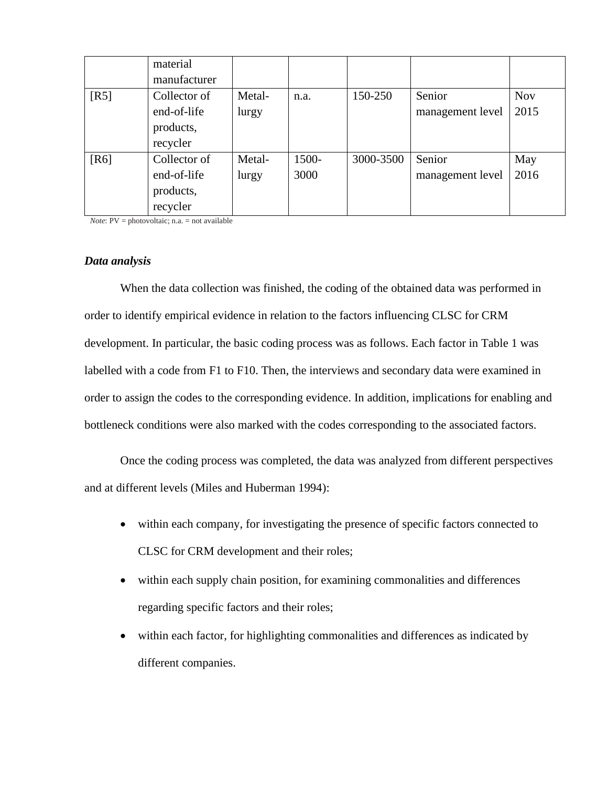|      | material     |        |       |           |                  |            |
|------|--------------|--------|-------|-----------|------------------|------------|
|      | manufacturer |        |       |           |                  |            |
| [R5] | Collector of | Metal- | n.a.  | 150-250   | Senior           | <b>Nov</b> |
|      | end-of-life  | lurgy  |       |           | management level | 2015       |
|      | products,    |        |       |           |                  |            |
|      | recycler     |        |       |           |                  |            |
| [R6] | Collector of | Metal- | 1500- | 3000-3500 | Senior           | May        |
|      | end-of-life  | lurgy  | 3000  |           | management level | 2016       |
|      | products,    |        |       |           |                  |            |
|      | recycler     |        |       |           |                  |            |

*Note*:  $PV = photovoltaic$ ; n.a. = not available

### *Data analysis*

When the data collection was finished, the coding of the obtained data was performed in order to identify empirical evidence in relation to the factors influencing CLSC for CRM development. In particular, the basic coding process was as follows. Each factor in Table 1 was labelled with a code from F1 to F10. Then, the interviews and secondary data were examined in order to assign the codes to the corresponding evidence. In addition, implications for enabling and bottleneck conditions were also marked with the codes corresponding to the associated factors.

Once the coding process was completed, the data was analyzed from different perspectives and at different levels (Miles and Huberman 1994):

- within each company, for investigating the presence of specific factors connected to CLSC for CRM development and their roles;
- within each supply chain position, for examining commonalities and differences regarding specific factors and their roles;
- within each factor, for highlighting commonalities and differences as indicated by different companies.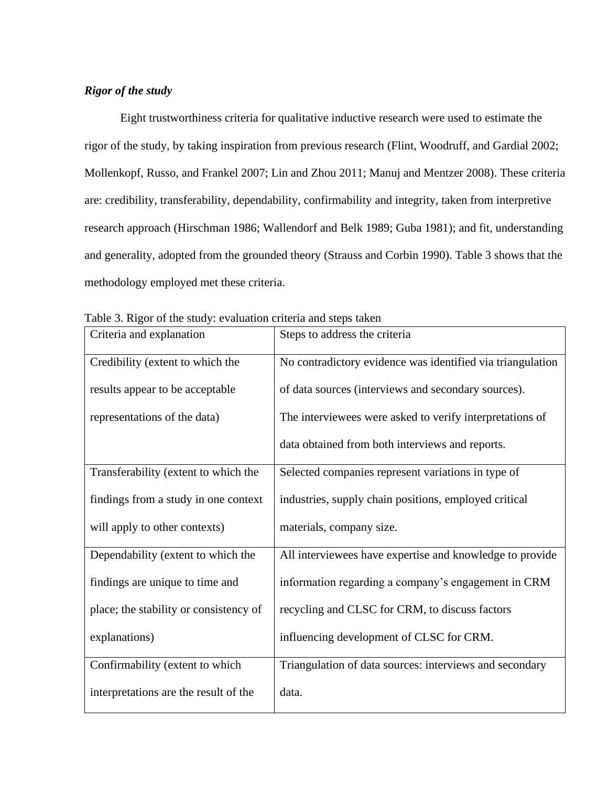### *Rigor of the study*

Eight trustworthiness criteria for qualitative inductive research were used to estimate the rigor of the study, by taking inspiration from previous research (Flint, Woodruff, and Gardial 2002; Mollenkopf, Russo, and Frankel 2007; Lin and Zhou 2011; Manuj and Mentzer 2008). These criteria are: credibility, transferability, dependability, confirmability and integrity, taken from interpretive research approach (Hirschman 1986; Wallendorf and Belk 1989; Guba 1981); and fit, understanding and generality, adopted from the grounded theory (Strauss and Corbin 1990). Table 3 shows that the methodology employed met these criteria.

| Criteria and explanation               | Steps to address the criteria                              |
|----------------------------------------|------------------------------------------------------------|
| Credibility (extent to which the       | No contradictory evidence was identified via triangulation |
| results appear to be acceptable        | of data sources (interviews and secondary sources).        |
| representations of the data)           | The interviewees were asked to verify interpretations of   |
|                                        | data obtained from both interviews and reports.            |
| Transferability (extent to which the   | Selected companies represent variations in type of         |
| findings from a study in one context   | industries, supply chain positions, employed critical      |
| will apply to other contexts)          | materials, company size.                                   |
| Dependability (extent to which the     | All interviewees have expertise and knowledge to provide   |
| findings are unique to time and        | information regarding a company's engagement in CRM        |
| place; the stability or consistency of | recycling and CLSC for CRM, to discuss factors             |
| explanations)                          | influencing development of CLSC for CRM.                   |
| Confirmability (extent to which        | Triangulation of data sources: interviews and secondary    |
| interpretations are the result of the  | data.                                                      |

Table 3. Rigor of the study: evaluation criteria and steps taken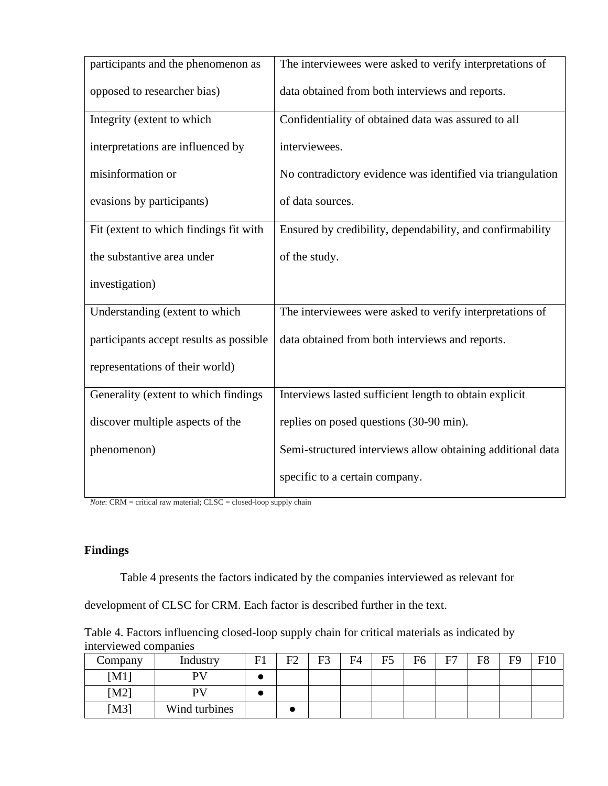| participants and the phenomenon as      | The interviewees were asked to verify interpretations of   |
|-----------------------------------------|------------------------------------------------------------|
| opposed to researcher bias)             | data obtained from both interviews and reports.            |
| Integrity (extent to which              | Confidentiality of obtained data was assured to all        |
| interpretations are influenced by       | interviewees.                                              |
| misinformation or                       | No contradictory evidence was identified via triangulation |
| evasions by participants)               | of data sources.                                           |
| Fit (extent to which findings fit with  | Ensured by credibility, dependability, and confirmability  |
| the substantive area under              | of the study.                                              |
| investigation)                          |                                                            |
| Understanding (extent to which          | The interviewees were asked to verify interpretations of   |
| participants accept results as possible | data obtained from both interviews and reports.            |
| representations of their world)         |                                                            |
| Generality (extent to which findings    | Interviews lasted sufficient length to obtain explicit     |
| discover multiple aspects of the        | replies on posed questions (30-90 min).                    |
| phenomenon)                             | Semi-structured interviews allow obtaining additional data |
|                                         | specific to a certain company.                             |

*Note*: CRM = critical raw material; CLSC = closed-loop supply chain

## **Findings**

Table 4 presents the factors indicated by the companies interviewed as relevant for

development of CLSC for CRM. Each factor is described further in the text.

Table 4. Factors influencing closed-loop supply chain for critical materials as indicated by interviewed companies

| Company | Industry      | F1 | F2 | F3 | F4 | F <sub>5</sub> | F6 | E7 | F8 | F9 | F10 |
|---------|---------------|----|----|----|----|----------------|----|----|----|----|-----|
| [M1]    | PV            |    |    |    |    |                |    |    |    |    |     |
| [M2]    | PV            |    |    |    |    |                |    |    |    |    |     |
| [M3]    | Wind turbines |    |    |    |    |                |    |    |    |    |     |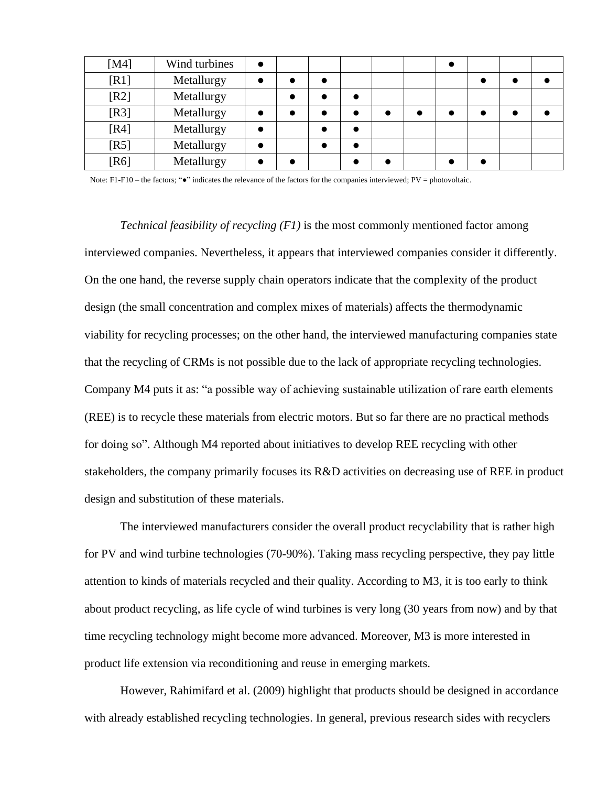| [M4]   | Wind turbines |  |  |  |  |  |
|--------|---------------|--|--|--|--|--|
| [R1]   | Metallurgy    |  |  |  |  |  |
| [R2]   | Metallurgy    |  |  |  |  |  |
| $[R3]$ | Metallurgy    |  |  |  |  |  |
| [R4]   | Metallurgy    |  |  |  |  |  |
| [R5]   | Metallurgy    |  |  |  |  |  |
| [R6]   | Metallurgy    |  |  |  |  |  |

Note: F1-F10 – the factors; "●" indicates the relevance of the factors for the companies interviewed; PV = photovoltaic.

*Technical feasibility of recycling (F1)* is the most commonly mentioned factor among interviewed companies. Nevertheless, it appears that interviewed companies consider it differently. On the one hand, the reverse supply chain operators indicate that the complexity of the product design (the small concentration and complex mixes of materials) affects the thermodynamic viability for recycling processes; on the other hand, the interviewed manufacturing companies state that the recycling of CRMs is not possible due to the lack of appropriate recycling technologies. Company M4 puts it as: "a possible way of achieving sustainable utilization of rare earth elements (REE) is to recycle these materials from electric motors. But so far there are no practical methods for doing so". Although M4 reported about initiatives to develop REE recycling with other stakeholders, the company primarily focuses its R&D activities on decreasing use of REE in product design and substitution of these materials.

The interviewed manufacturers consider the overall product recyclability that is rather high for PV and wind turbine technologies (70-90%). Taking mass recycling perspective, they pay little attention to kinds of materials recycled and their quality. According to M3, it is too early to think about product recycling, as life cycle of wind turbines is very long (30 years from now) and by that time recycling technology might become more advanced. Moreover, M3 is more interested in product life extension via reconditioning and reuse in emerging markets.

However, Rahimifard et al. (2009) highlight that products should be designed in accordance with already established recycling technologies. In general, previous research sides with recyclers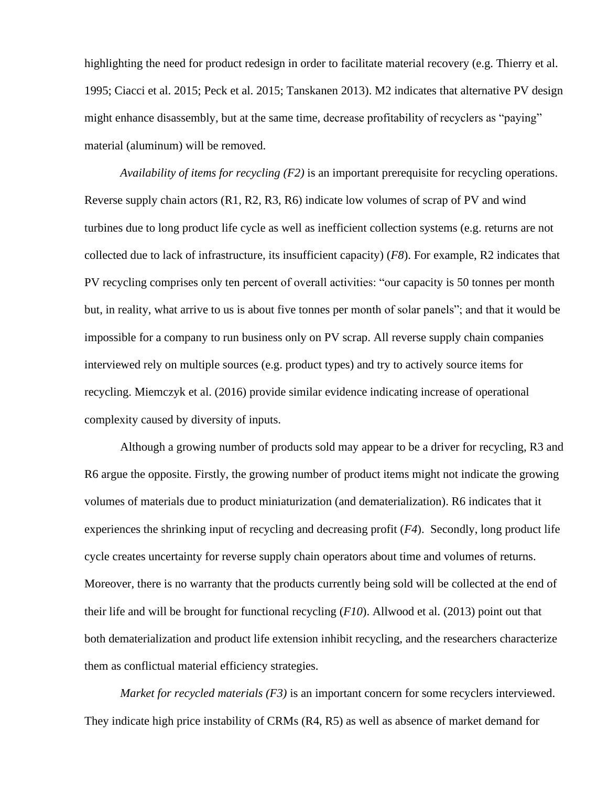highlighting the need for product redesign in order to facilitate material recovery (e.g. Thierry et al. 1995; Ciacci et al. 2015; Peck et al. 2015; Tanskanen 2013). M2 indicates that alternative PV design might enhance disassembly, but at the same time, decrease profitability of recyclers as "paying" material (aluminum) will be removed.

*Availability of items for recycling (F2)* is an important prerequisite for recycling operations. Reverse supply chain actors (R1, R2, R3, R6) indicate low volumes of scrap of PV and wind turbines due to long product life cycle as well as inefficient collection systems (e.g. returns are not collected due to lack of infrastructure, its insufficient capacity) (*F8*). For example, R2 indicates that PV recycling comprises only ten percent of overall activities: "our capacity is 50 tonnes per month but, in reality, what arrive to us is about five tonnes per month of solar panels"; and that it would be impossible for a company to run business only on PV scrap. All reverse supply chain companies interviewed rely on multiple sources (e.g. product types) and try to actively source items for recycling. Miemczyk et al. (2016) provide similar evidence indicating increase of operational complexity caused by diversity of inputs.

Although a growing number of products sold may appear to be a driver for recycling, R3 and R6 argue the opposite. Firstly, the growing number of product items might not indicate the growing volumes of materials due to product miniaturization (and dematerialization). R6 indicates that it experiences the shrinking input of recycling and decreasing profit (*F4*). Secondly, long product life cycle creates uncertainty for reverse supply chain operators about time and volumes of returns. Moreover, there is no warranty that the products currently being sold will be collected at the end of their life and will be brought for functional recycling (*F10*). Allwood et al. (2013) point out that both dematerialization and product life extension inhibit recycling, and the researchers characterize them as conflictual material efficiency strategies.

*Market for recycled materials (F3)* is an important concern for some recyclers interviewed. They indicate high price instability of CRMs (R4, R5) as well as absence of market demand for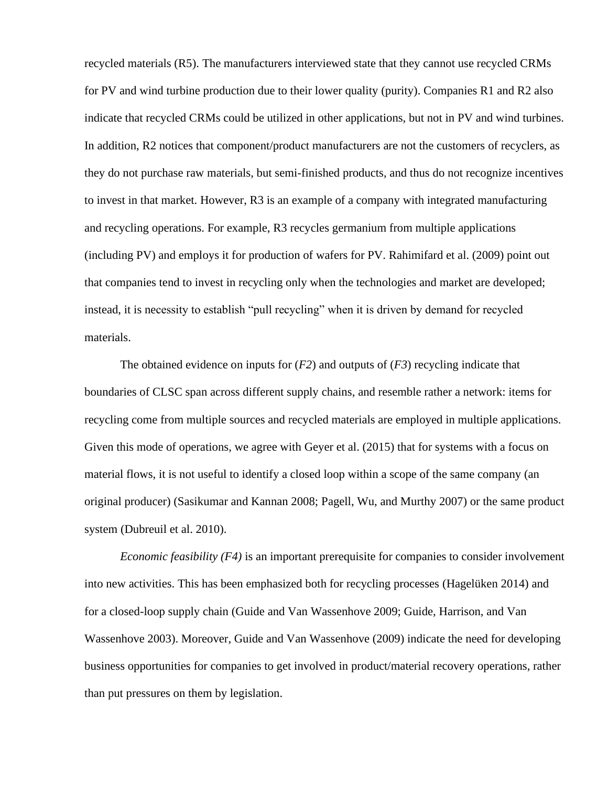recycled materials (R5). The manufacturers interviewed state that they cannot use recycled CRMs for PV and wind turbine production due to their lower quality (purity). Companies R1 and R2 also indicate that recycled CRMs could be utilized in other applications, but not in PV and wind turbines. In addition, R2 notices that component/product manufacturers are not the customers of recyclers, as they do not purchase raw materials, but semi-finished products, and thus do not recognize incentives to invest in that market. However, R3 is an example of a company with integrated manufacturing and recycling operations. For example, R3 recycles germanium from multiple applications (including PV) and employs it for production of wafers for PV. Rahimifard et al. (2009) point out that companies tend to invest in recycling only when the technologies and market are developed; instead, it is necessity to establish "pull recycling" when it is driven by demand for recycled materials.

The obtained evidence on inputs for (*F2*) and outputs of (*F3*) recycling indicate that boundaries of CLSC span across different supply chains, and resemble rather a network: items for recycling come from multiple sources and recycled materials are employed in multiple applications. Given this mode of operations, we agree with Geyer et al. (2015) that for systems with a focus on material flows, it is not useful to identify a closed loop within a scope of the same company (an original producer) (Sasikumar and Kannan 2008; Pagell, Wu, and Murthy 2007) or the same product system (Dubreuil et al. 2010).

*Economic feasibility (F4)* is an important prerequisite for companies to consider involvement into new activities. This has been emphasized both for recycling processes (Hagelüken 2014) and for a closed-loop supply chain (Guide and Van Wassenhove 2009; Guide, Harrison, and Van Wassenhove 2003). Moreover, Guide and Van Wassenhove (2009) indicate the need for developing business opportunities for companies to get involved in product/material recovery operations, rather than put pressures on them by legislation.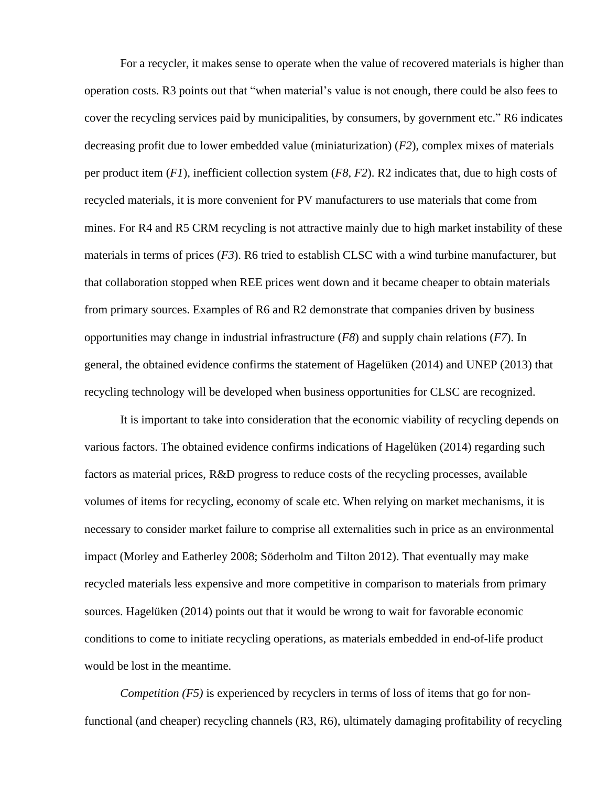For a recycler, it makes sense to operate when the value of recovered materials is higher than operation costs. R3 points out that "when material's value is not enough, there could be also fees to cover the recycling services paid by municipalities, by consumers, by government etc." R6 indicates decreasing profit due to lower embedded value (miniaturization) (*F2*), complex mixes of materials per product item (*F1*), inefficient collection system (*F8, F2*). R2 indicates that, due to high costs of recycled materials, it is more convenient for PV manufacturers to use materials that come from mines. For R4 and R5 CRM recycling is not attractive mainly due to high market instability of these materials in terms of prices (*F3*). R6 tried to establish CLSC with a wind turbine manufacturer, but that collaboration stopped when REE prices went down and it became cheaper to obtain materials from primary sources. Examples of R6 and R2 demonstrate that companies driven by business opportunities may change in industrial infrastructure (*F8*) and supply chain relations (*F7*). In general, the obtained evidence confirms the statement of Hagelüken (2014) and UNEP (2013) that recycling technology will be developed when business opportunities for CLSC are recognized.

It is important to take into consideration that the economic viability of recycling depends on various factors. The obtained evidence confirms indications of Hagelüken (2014) regarding such factors as material prices, R&D progress to reduce costs of the recycling processes, available volumes of items for recycling, economy of scale etc. When relying on market mechanisms, it is necessary to consider market failure to comprise all externalities such in price as an environmental impact (Morley and Eatherley 2008; Söderholm and Tilton 2012). That eventually may make recycled materials less expensive and more competitive in comparison to materials from primary sources. Hagelüken (2014) points out that it would be wrong to wait for favorable economic conditions to come to initiate recycling operations, as materials embedded in end-of-life product would be lost in the meantime.

*Competition (F5)* is experienced by recyclers in terms of loss of items that go for nonfunctional (and cheaper) recycling channels (R3, R6), ultimately damaging profitability of recycling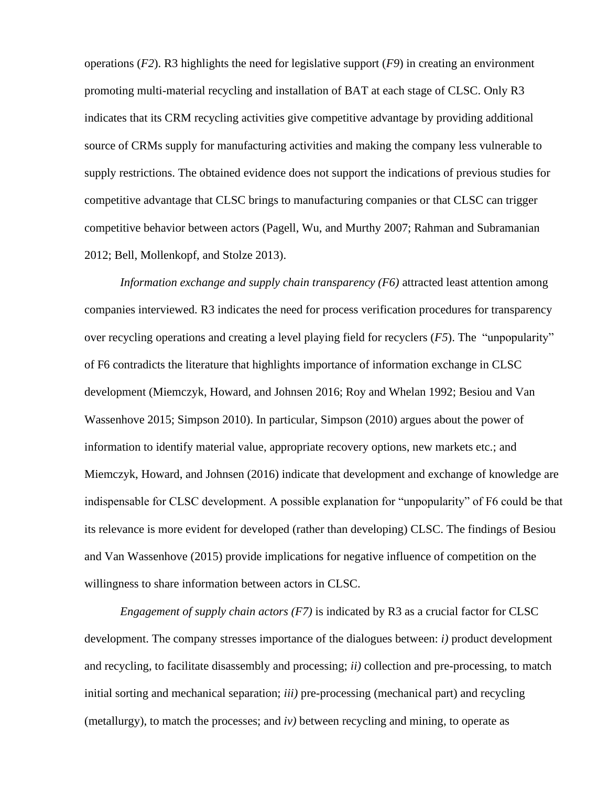operations (*F2*). R3 highlights the need for legislative support (*F9*) in creating an environment promoting multi-material recycling and installation of BAT at each stage of CLSC. Only R3 indicates that its CRM recycling activities give competitive advantage by providing additional source of CRMs supply for manufacturing activities and making the company less vulnerable to supply restrictions. The obtained evidence does not support the indications of previous studies for competitive advantage that CLSC brings to manufacturing companies or that CLSC can trigger competitive behavior between actors (Pagell, Wu, and Murthy 2007; Rahman and Subramanian 2012; Bell, Mollenkopf, and Stolze 2013).

*Information exchange and supply chain transparency (F6)* attracted least attention among companies interviewed. R3 indicates the need for process verification procedures for transparency over recycling operations and creating a level playing field for recyclers (*F5*). The "unpopularity" of F6 contradicts the literature that highlights importance of information exchange in CLSC development (Miemczyk, Howard, and Johnsen 2016; Roy and Whelan 1992; Besiou and Van Wassenhove 2015; Simpson 2010). In particular, Simpson (2010) argues about the power of information to identify material value, appropriate recovery options, new markets etc.; and Miemczyk, Howard, and Johnsen (2016) indicate that development and exchange of knowledge are indispensable for CLSC development. A possible explanation for "unpopularity" of F6 could be that its relevance is more evident for developed (rather than developing) CLSC. The findings of Besiou and Van Wassenhove (2015) provide implications for negative influence of competition on the willingness to share information between actors in CLSC.

*Engagement of supply chain actors (F7)* is indicated by R3 as a crucial factor for CLSC development. The company stresses importance of the dialogues between: *i)* product development and recycling, to facilitate disassembly and processing; *ii)* collection and pre-processing, to match initial sorting and mechanical separation; *iii)* pre-processing (mechanical part) and recycling (metallurgy), to match the processes; and *iv)* between recycling and mining, to operate as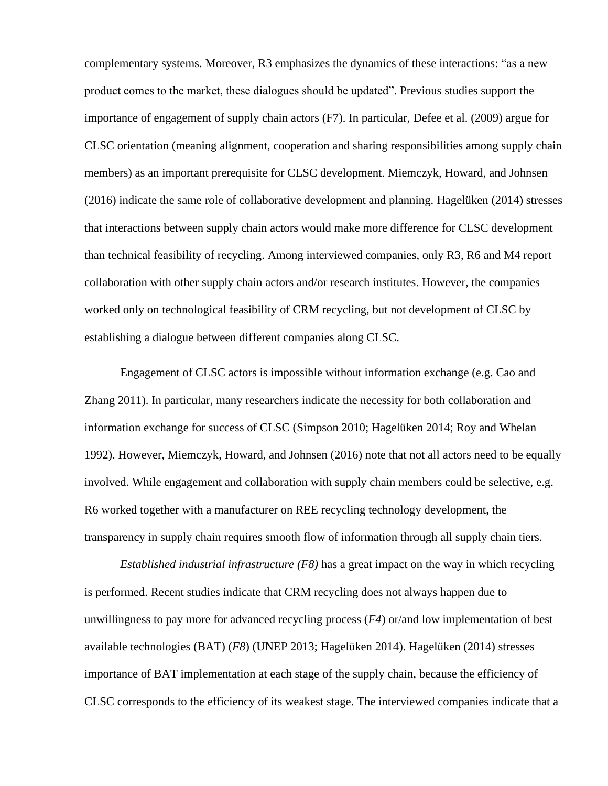complementary systems. Moreover, R3 emphasizes the dynamics of these interactions: "as a new product comes to the market, these dialogues should be updated". Previous studies support the importance of engagement of supply chain actors (F7). In particular, Defee et al. (2009) argue for CLSC orientation (meaning alignment, cooperation and sharing responsibilities among supply chain members) as an important prerequisite for CLSC development. Miemczyk, Howard, and Johnsen (2016) indicate the same role of collaborative development and planning. Hagelüken (2014) stresses that interactions between supply chain actors would make more difference for CLSC development than technical feasibility of recycling. Among interviewed companies, only R3, R6 and M4 report collaboration with other supply chain actors and/or research institutes. However, the companies worked only on technological feasibility of CRM recycling, but not development of CLSC by establishing a dialogue between different companies along CLSC.

Engagement of CLSC actors is impossible without information exchange (e.g. Cao and Zhang 2011). In particular, many researchers indicate the necessity for both collaboration and information exchange for success of CLSC (Simpson 2010; Hagelüken 2014; Roy and Whelan 1992). However, Miemczyk, Howard, and Johnsen (2016) note that not all actors need to be equally involved. While engagement and collaboration with supply chain members could be selective, e.g. R6 worked together with a manufacturer on REE recycling technology development, the transparency in supply chain requires smooth flow of information through all supply chain tiers.

*Established industrial infrastructure (F8)* has a great impact on the way in which recycling is performed. Recent studies indicate that CRM recycling does not always happen due to unwillingness to pay more for advanced recycling process (*F4*) or/and low implementation of best available technologies (BAT) (*F8*) (UNEP 2013; Hagelüken 2014). Hagelüken (2014) stresses importance of BAT implementation at each stage of the supply chain, because the efficiency of CLSC corresponds to the efficiency of its weakest stage. The interviewed companies indicate that a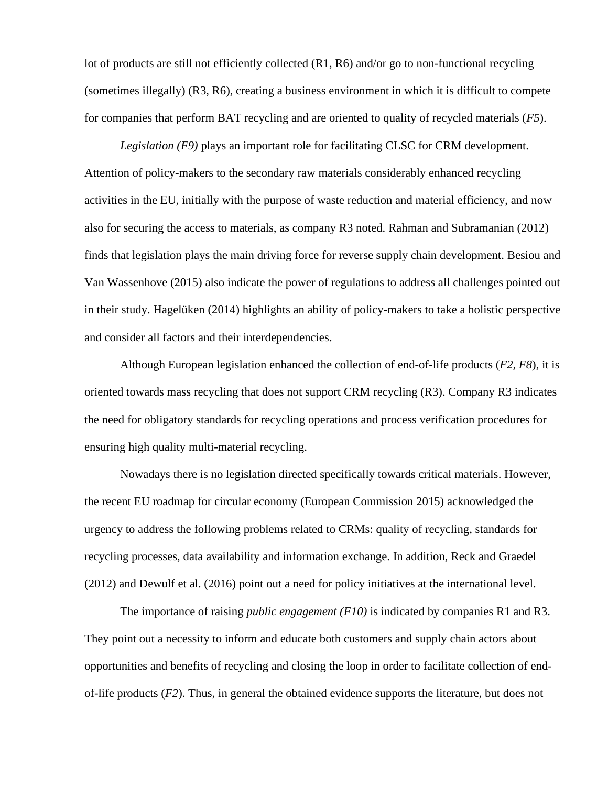lot of products are still not efficiently collected (R1, R6) and/or go to non-functional recycling (sometimes illegally) (R3, R6), creating a business environment in which it is difficult to compete for companies that perform BAT recycling and are oriented to quality of recycled materials (*F5*).

*Legislation (F9)* plays an important role for facilitating CLSC for CRM development. Attention of policy-makers to the secondary raw materials considerably enhanced recycling activities in the EU, initially with the purpose of waste reduction and material efficiency, and now also for securing the access to materials, as company R3 noted. Rahman and Subramanian (2012) finds that legislation plays the main driving force for reverse supply chain development. Besiou and Van Wassenhove (2015) also indicate the power of regulations to address all challenges pointed out in their study. Hagelüken (2014) highlights an ability of policy-makers to take a holistic perspective and consider all factors and their interdependencies.

Although European legislation enhanced the collection of end-of-life products (*F2, F8*), it is oriented towards mass recycling that does not support CRM recycling (R3). Company R3 indicates the need for obligatory standards for recycling operations and process verification procedures for ensuring high quality multi-material recycling.

Nowadays there is no legislation directed specifically towards critical materials. However, the recent EU roadmap for circular economy (European Commission 2015) acknowledged the urgency to address the following problems related to CRMs: quality of recycling, standards for recycling processes, data availability and information exchange. In addition, Reck and Graedel (2012) and Dewulf et al. (2016) point out a need for policy initiatives at the international level.

The importance of raising *public engagement (F10)* is indicated by companies R1 and R3. They point out a necessity to inform and educate both customers and supply chain actors about opportunities and benefits of recycling and closing the loop in order to facilitate collection of endof-life products (*F2*). Thus, in general the obtained evidence supports the literature, but does not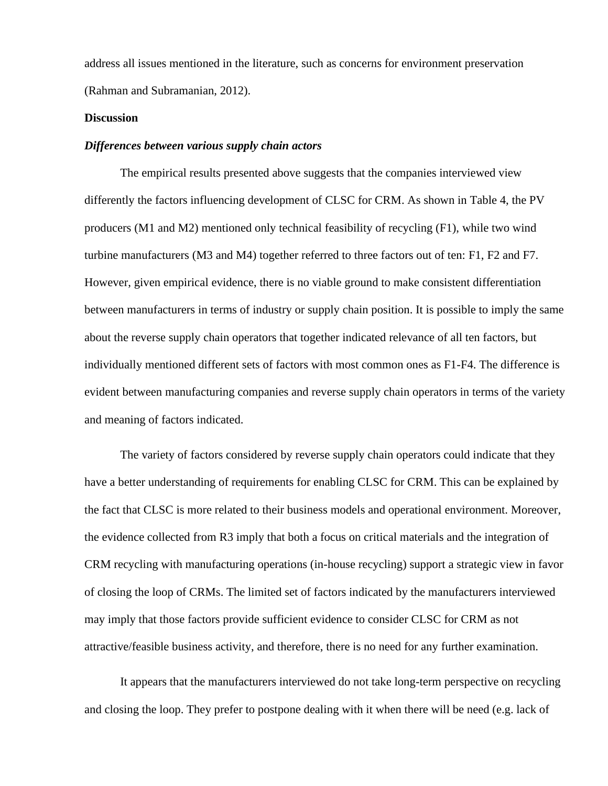address all issues mentioned in the literature, such as concerns for environment preservation (Rahman and Subramanian, 2012).

### **Discussion**

### *Differences between various supply chain actors*

The empirical results presented above suggests that the companies interviewed view differently the factors influencing development of CLSC for CRM. As shown in Table 4, the PV producers (M1 and M2) mentioned only technical feasibility of recycling (F1), while two wind turbine manufacturers (M3 and M4) together referred to three factors out of ten: F1, F2 and F7. However, given empirical evidence, there is no viable ground to make consistent differentiation between manufacturers in terms of industry or supply chain position. It is possible to imply the same about the reverse supply chain operators that together indicated relevance of all ten factors, but individually mentioned different sets of factors with most common ones as F1-F4. The difference is evident between manufacturing companies and reverse supply chain operators in terms of the variety and meaning of factors indicated.

The variety of factors considered by reverse supply chain operators could indicate that they have a better understanding of requirements for enabling CLSC for CRM. This can be explained by the fact that CLSC is more related to their business models and operational environment. Moreover, the evidence collected from R3 imply that both a focus on critical materials and the integration of CRM recycling with manufacturing operations (in-house recycling) support a strategic view in favor of closing the loop of CRMs. The limited set of factors indicated by the manufacturers interviewed may imply that those factors provide sufficient evidence to consider CLSC for CRM as not attractive/feasible business activity, and therefore, there is no need for any further examination.

It appears that the manufacturers interviewed do not take long-term perspective on recycling and closing the loop. They prefer to postpone dealing with it when there will be need (e.g. lack of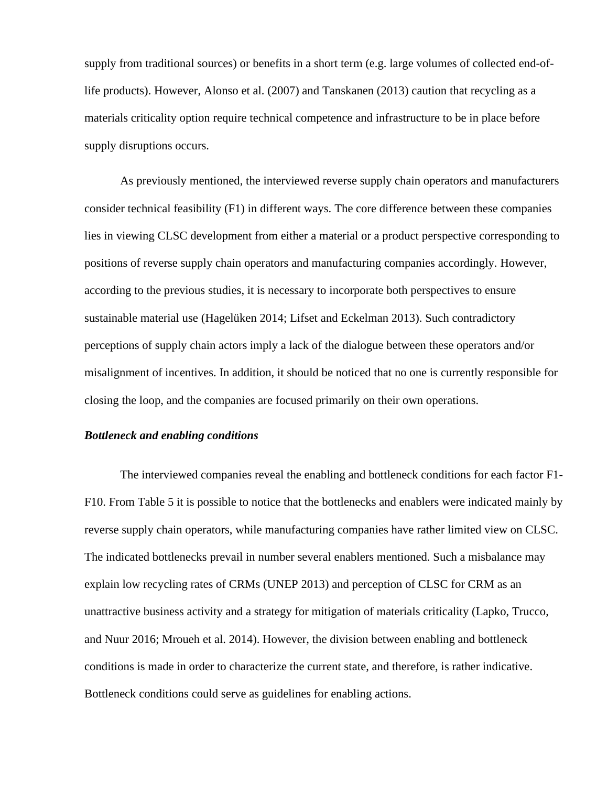supply from traditional sources) or benefits in a short term (e.g. large volumes of collected end-oflife products). However, Alonso et al. (2007) and Tanskanen (2013) caution that recycling as a materials criticality option require technical competence and infrastructure to be in place before supply disruptions occurs.

As previously mentioned, the interviewed reverse supply chain operators and manufacturers consider technical feasibility (F1) in different ways. The core difference between these companies lies in viewing CLSC development from either a material or a product perspective corresponding to positions of reverse supply chain operators and manufacturing companies accordingly. However, according to the previous studies, it is necessary to incorporate both perspectives to ensure sustainable material use (Hagelüken 2014; Lifset and Eckelman 2013). Such contradictory perceptions of supply chain actors imply a lack of the dialogue between these operators and/or misalignment of incentives. In addition, it should be noticed that no one is currently responsible for closing the loop, and the companies are focused primarily on their own operations.

### *Bottleneck and enabling conditions*

The interviewed companies reveal the enabling and bottleneck conditions for each factor F1- F10. From Table 5 it is possible to notice that the bottlenecks and enablers were indicated mainly by reverse supply chain operators, while manufacturing companies have rather limited view on CLSC. The indicated bottlenecks prevail in number several enablers mentioned. Such a misbalance may explain low recycling rates of CRMs (UNEP 2013) and perception of CLSC for CRM as an unattractive business activity and a strategy for mitigation of materials criticality (Lapko, Trucco, and Nuur 2016; Mroueh et al. 2014). However, the division between enabling and bottleneck conditions is made in order to characterize the current state, and therefore, is rather indicative. Bottleneck conditions could serve as guidelines for enabling actions.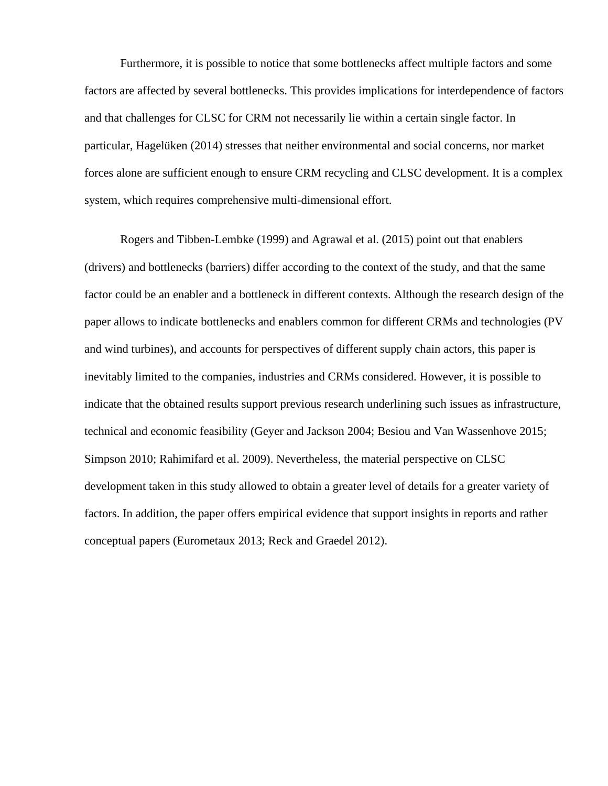Furthermore, it is possible to notice that some bottlenecks affect multiple factors and some factors are affected by several bottlenecks. This provides implications for interdependence of factors and that challenges for CLSC for CRM not necessarily lie within a certain single factor. In particular, Hagelüken (2014) stresses that neither environmental and social concerns, nor market forces alone are sufficient enough to ensure CRM recycling and CLSC development. It is a complex system, which requires comprehensive multi-dimensional effort.

Rogers and Tibben-Lembke (1999) and Agrawal et al. (2015) point out that enablers (drivers) and bottlenecks (barriers) differ according to the context of the study, and that the same factor could be an enabler and a bottleneck in different contexts. Although the research design of the paper allows to indicate bottlenecks and enablers common for different CRMs and technologies (PV and wind turbines), and accounts for perspectives of different supply chain actors, this paper is inevitably limited to the companies, industries and CRMs considered. However, it is possible to indicate that the obtained results support previous research underlining such issues as infrastructure, technical and economic feasibility (Geyer and Jackson 2004; Besiou and Van Wassenhove 2015; Simpson 2010; Rahimifard et al. 2009). Nevertheless, the material perspective on CLSC development taken in this study allowed to obtain a greater level of details for a greater variety of factors. In addition, the paper offers empirical evidence that support insights in reports and rather conceptual papers (Eurometaux 2013; Reck and Graedel 2012).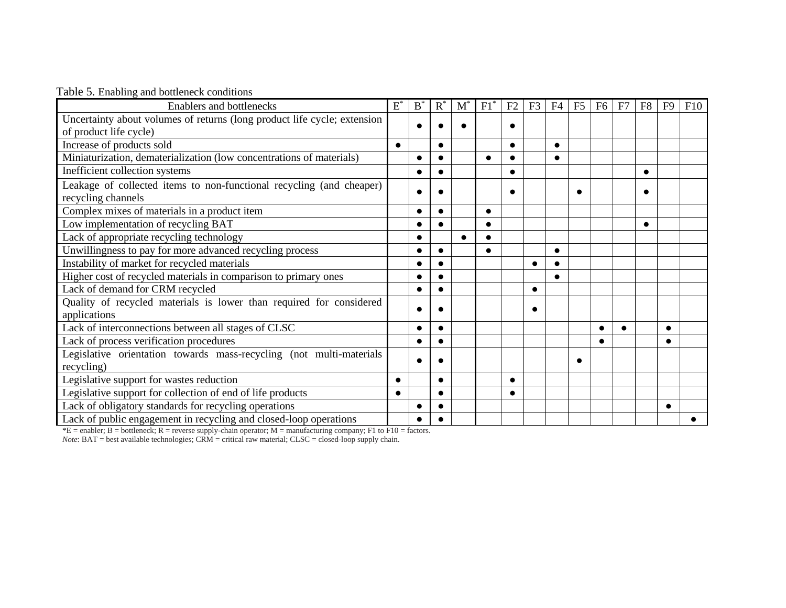|  |  | Table 5. Enabling and bottleneck conditions |  |  |
|--|--|---------------------------------------------|--|--|
|--|--|---------------------------------------------|--|--|

| <b>Enablers and bottlenecks</b>                                                            | $E^*$     | B | $R^*$     | $\mathbf{M}^{\cdot}$ | F1 | F <sub>2</sub> | F <sub>3</sub> | F <sub>4</sub> | F <sub>5</sub> | F <sub>6</sub> | F7 | F8 | F9 | F10 |
|--------------------------------------------------------------------------------------------|-----------|---|-----------|----------------------|----|----------------|----------------|----------------|----------------|----------------|----|----|----|-----|
| Uncertainty about volumes of returns (long product life cycle; extension                   |           |   |           |                      |    |                |                |                |                |                |    |    |    |     |
| of product life cycle)                                                                     |           |   |           |                      |    | 0              |                |                |                |                |    |    |    |     |
| Increase of products sold                                                                  | $\bullet$ |   | $\bullet$ |                      |    | $\bullet$      |                | $\bullet$      |                |                |    |    |    |     |
| Miniaturization, dematerialization (low concentrations of materials)                       |           |   |           |                      |    |                |                |                |                |                |    |    |    |     |
| Inefficient collection systems                                                             |           |   |           |                      |    |                |                |                |                |                |    |    |    |     |
| Leakage of collected items to non-functional recycling (and cheaper)<br>recycling channels |           |   |           |                      |    | 0              |                |                |                |                |    |    |    |     |
| Complex mixes of materials in a product item                                               |           |   |           |                      |    |                |                |                |                |                |    |    |    |     |
| Low implementation of recycling BAT                                                        |           |   |           |                      |    |                |                |                |                |                |    |    |    |     |
| Lack of appropriate recycling technology                                                   |           |   |           |                      |    |                |                |                |                |                |    |    |    |     |
| Unwillingness to pay for more advanced recycling process                                   |           |   |           |                      |    |                |                | $\bullet$      |                |                |    |    |    |     |
| Instability of market for recycled materials                                               |           |   |           |                      |    |                |                |                |                |                |    |    |    |     |
| Higher cost of recycled materials in comparison to primary ones                            |           |   |           |                      |    |                |                |                |                |                |    |    |    |     |
| Lack of demand for CRM recycled                                                            |           |   |           |                      |    |                |                |                |                |                |    |    |    |     |
| Quality of recycled materials is lower than required for considered                        |           |   |           |                      |    |                |                |                |                |                |    |    |    |     |
| applications                                                                               |           |   |           |                      |    |                |                |                |                |                |    |    |    |     |
| Lack of interconnections between all stages of CLSC                                        |           |   | $\bullet$ |                      |    |                |                |                |                |                |    |    |    |     |
| Lack of process verification procedures                                                    |           |   |           |                      |    |                |                |                |                |                |    |    |    |     |
| Legislative orientation towards mass-recycling (not multi-materials                        |           |   |           |                      |    |                |                |                |                |                |    |    |    |     |
| recycling)                                                                                 |           |   |           |                      |    |                |                |                |                |                |    |    |    |     |
| Legislative support for wastes reduction                                                   |           |   | $\bullet$ |                      |    | $\bullet$      |                |                |                |                |    |    |    |     |
| Legislative support for collection of end of life products                                 |           |   | $\bullet$ |                      |    |                |                |                |                |                |    |    |    |     |
| Lack of obligatory standards for recycling operations                                      |           |   |           |                      |    |                |                |                |                |                |    |    |    |     |
| Lack of public engagement in recycling and closed-loop operations                          |           |   |           |                      |    |                |                |                |                |                |    |    |    |     |

 $E =$  enabler; B = bottleneck; R = reverse supply-chain operator; M = manufacturing company; F1 to F10 = factors.

*Note*: BAT = best available technologies; CRM = critical raw material; CLSC = closed-loop supply chain.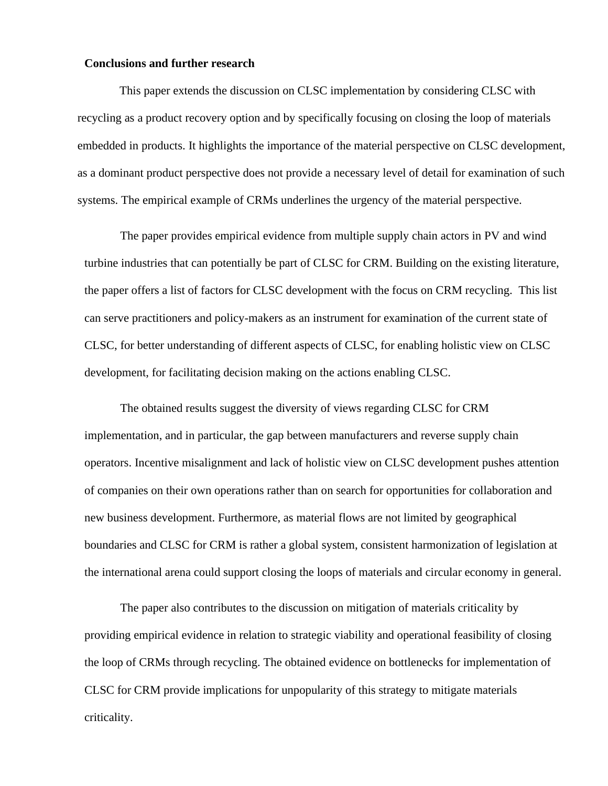#### **Conclusions and further research**

This paper extends the discussion on CLSC implementation by considering CLSC with recycling as a product recovery option and by specifically focusing on closing the loop of materials embedded in products. It highlights the importance of the material perspective on CLSC development, as a dominant product perspective does not provide a necessary level of detail for examination of such systems. The empirical example of CRMs underlines the urgency of the material perspective.

The paper provides empirical evidence from multiple supply chain actors in PV and wind turbine industries that can potentially be part of CLSC for CRM. Building on the existing literature, the paper offers a list of factors for CLSC development with the focus on CRM recycling. This list can serve practitioners and policy-makers as an instrument for examination of the current state of CLSC, for better understanding of different aspects of CLSC, for enabling holistic view on CLSC development, for facilitating decision making on the actions enabling CLSC.

The obtained results suggest the diversity of views regarding CLSC for CRM implementation, and in particular, the gap between manufacturers and reverse supply chain operators. Incentive misalignment and lack of holistic view on CLSC development pushes attention of companies on their own operations rather than on search for opportunities for collaboration and new business development. Furthermore, as material flows are not limited by geographical boundaries and CLSC for CRM is rather a global system, consistent harmonization of legislation at the international arena could support closing the loops of materials and circular economy in general.

The paper also contributes to the discussion on mitigation of materials criticality by providing empirical evidence in relation to strategic viability and operational feasibility of closing the loop of CRMs through recycling. The obtained evidence on bottlenecks for implementation of CLSC for CRM provide implications for unpopularity of this strategy to mitigate materials criticality.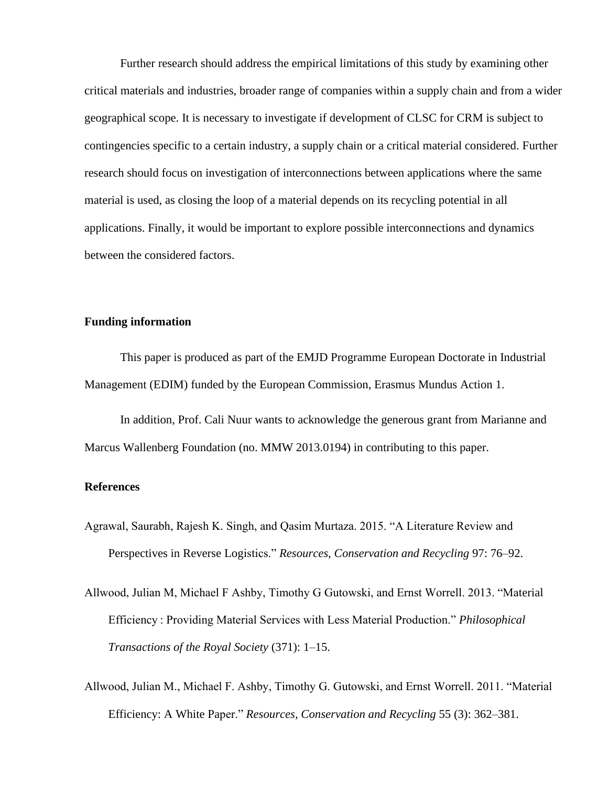Further research should address the empirical limitations of this study by examining other critical materials and industries, broader range of companies within a supply chain and from a wider geographical scope. It is necessary to investigate if development of CLSC for CRM is subject to contingencies specific to a certain industry, a supply chain or a critical material considered. Further research should focus on investigation of interconnections between applications where the same material is used, as closing the loop of a material depends on its recycling potential in all applications. Finally, it would be important to explore possible interconnections and dynamics between the considered factors.

## **Funding information**

This paper is produced as part of the EMJD Programme European Doctorate in Industrial Management (EDIM) funded by the European Commission, Erasmus Mundus Action 1.

In addition, Prof. Cali Nuur wants to acknowledge the generous grant from Marianne and Marcus Wallenberg Foundation (no. MMW 2013.0194) in contributing to this paper.

### **References**

- Agrawal, Saurabh, Rajesh K. Singh, and Qasim Murtaza. 2015. "A Literature Review and Perspectives in Reverse Logistics." *Resources, Conservation and Recycling* 97: 76–92.
- Allwood, Julian M, Michael F Ashby, Timothy G Gutowski, and Ernst Worrell. 2013. "Material Efficiency : Providing Material Services with Less Material Production." *Philosophical Transactions of the Royal Society* (371): 1–15.
- Allwood, Julian M., Michael F. Ashby, Timothy G. Gutowski, and Ernst Worrell. 2011. "Material Efficiency: A White Paper." *Resources, Conservation and Recycling* 55 (3): 362–381.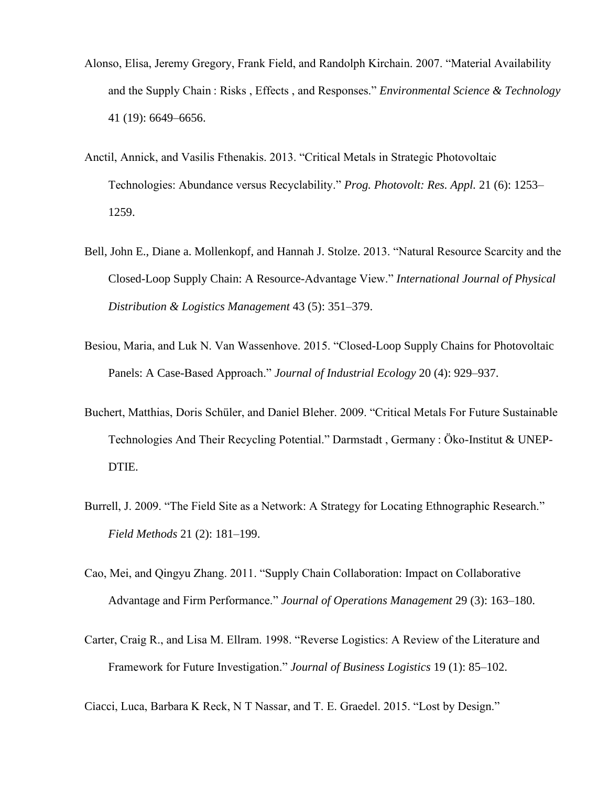- Alonso, Elisa, Jeremy Gregory, Frank Field, and Randolph Kirchain. 2007. "Material Availability and the Supply Chain : Risks , Effects , and Responses." *Environmental Science & Technology* 41 (19): 6649–6656.
- Anctil, Annick, and Vasilis Fthenakis. 2013. "Critical Metals in Strategic Photovoltaic Technologies: Abundance versus Recyclability." *Prog. Photovolt: Res. Appl.* 21 (6): 1253– 1259.
- Bell, John E., Diane a. Mollenkopf, and Hannah J. Stolze. 2013. "Natural Resource Scarcity and the Closed-Loop Supply Chain: A Resource-Advantage View." *International Journal of Physical Distribution & Logistics Management* 43 (5): 351–379.
- Besiou, Maria, and Luk N. Van Wassenhove. 2015. "Closed-Loop Supply Chains for Photovoltaic Panels: A Case-Based Approach." *Journal of Industrial Ecology* 20 (4): 929–937.
- Buchert, Matthias, Doris Schüler, and Daniel Bleher. 2009. "Critical Metals For Future Sustainable Technologies And Their Recycling Potential." Darmstadt , Germany : Öko-Institut & UNEP-DTIE.
- Burrell, J. 2009. "The Field Site as a Network: A Strategy for Locating Ethnographic Research." *Field Methods* 21 (2): 181–199.
- Cao, Mei, and Qingyu Zhang. 2011. "Supply Chain Collaboration: Impact on Collaborative Advantage and Firm Performance." *Journal of Operations Management* 29 (3): 163–180.
- Carter, Craig R., and Lisa M. Ellram. 1998. "Reverse Logistics: A Review of the Literature and Framework for Future Investigation." *Journal of Business Logistics* 19 (1): 85–102.

Ciacci, Luca, Barbara K Reck, N T Nassar, and T. E. Graedel. 2015. "Lost by Design."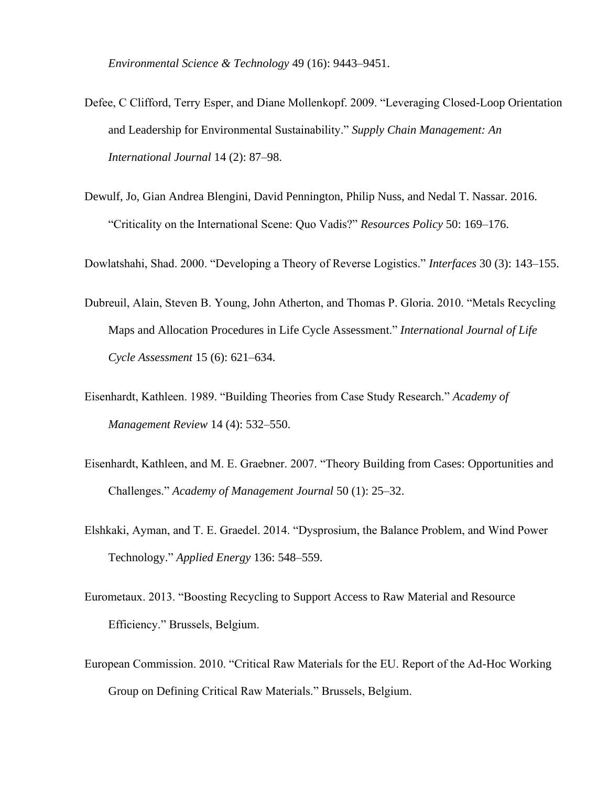*Environmental Science & Technology* 49 (16): 9443–9451.

- Defee, C Clifford, Terry Esper, and Diane Mollenkopf. 2009. "Leveraging Closed-Loop Orientation and Leadership for Environmental Sustainability." *Supply Chain Management: An International Journal* 14 (2): 87–98.
- Dewulf, Jo, Gian Andrea Blengini, David Pennington, Philip Nuss, and Nedal T. Nassar. 2016. "Criticality on the International Scene: Quo Vadis?" *Resources Policy* 50: 169–176.

Dowlatshahi, Shad. 2000. "Developing a Theory of Reverse Logistics." *Interfaces* 30 (3): 143–155.

- Dubreuil, Alain, Steven B. Young, John Atherton, and Thomas P. Gloria. 2010. "Metals Recycling Maps and Allocation Procedures in Life Cycle Assessment." *International Journal of Life Cycle Assessment* 15 (6): 621–634.
- Eisenhardt, Kathleen. 1989. "Building Theories from Case Study Research." *Academy of Management Review* 14 (4): 532–550.
- Eisenhardt, Kathleen, and M. E. Graebner. 2007. "Theory Building from Cases: Opportunities and Challenges." *Academy of Management Journal* 50 (1): 25–32.
- Elshkaki, Ayman, and T. E. Graedel. 2014. "Dysprosium, the Balance Problem, and Wind Power Technology." *Applied Energy* 136: 548–559.
- Eurometaux. 2013. "Boosting Recycling to Support Access to Raw Material and Resource Efficiency." Brussels, Belgium.
- European Commission. 2010. "Critical Raw Materials for the EU. Report of the Ad-Hoc Working Group on Defining Critical Raw Materials." Brussels, Belgium.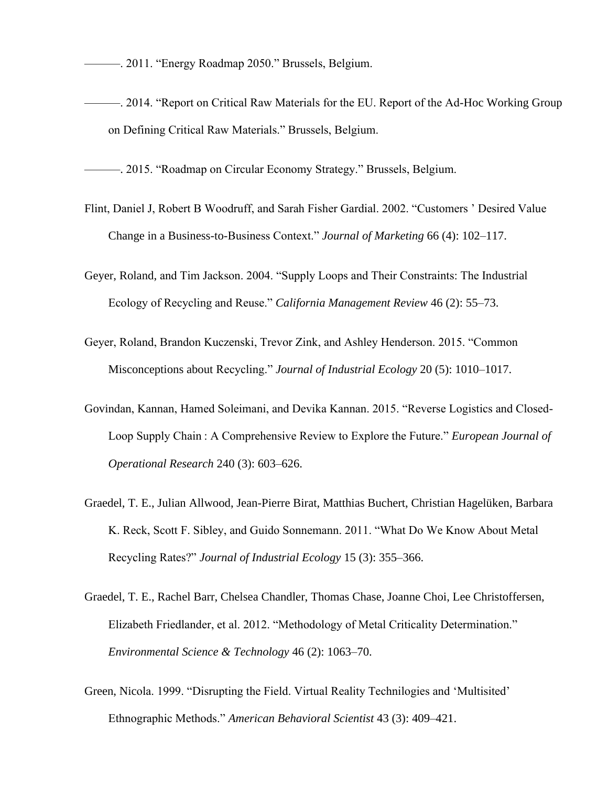———. 2011. "Energy Roadmap 2050." Brussels, Belgium.

———. 2014. "Report on Critical Raw Materials for the EU. Report of the Ad-Hoc Working Group on Defining Critical Raw Materials." Brussels, Belgium.

———. 2015. "Roadmap on Circular Economy Strategy." Brussels, Belgium.

- Flint, Daniel J, Robert B Woodruff, and Sarah Fisher Gardial. 2002. "Customers ' Desired Value Change in a Business-to-Business Context." *Journal of Marketing* 66 (4): 102–117.
- Geyer, Roland, and Tim Jackson. 2004. "Supply Loops and Their Constraints: The Industrial Ecology of Recycling and Reuse." *California Management Review* 46 (2): 55–73.
- Geyer, Roland, Brandon Kuczenski, Trevor Zink, and Ashley Henderson. 2015. "Common Misconceptions about Recycling." *Journal of Industrial Ecology* 20 (5): 1010–1017.
- Govindan, Kannan, Hamed Soleimani, and Devika Kannan. 2015. "Reverse Logistics and Closed-Loop Supply Chain : A Comprehensive Review to Explore the Future." *European Journal of Operational Research* 240 (3): 603–626.
- Graedel, T. E., Julian Allwood, Jean-Pierre Birat, Matthias Buchert, Christian Hagelüken, Barbara K. Reck, Scott F. Sibley, and Guido Sonnemann. 2011. "What Do We Know About Metal Recycling Rates?" *Journal of Industrial Ecology* 15 (3): 355–366.
- Graedel, T. E., Rachel Barr, Chelsea Chandler, Thomas Chase, Joanne Choi, Lee Christoffersen, Elizabeth Friedlander, et al. 2012. "Methodology of Metal Criticality Determination." *Environmental Science & Technology* 46 (2): 1063–70.
- Green, Nicola. 1999. "Disrupting the Field. Virtual Reality Technilogies and 'Multisited' Ethnographic Methods." *American Behavioral Scientist* 43 (3): 409–421.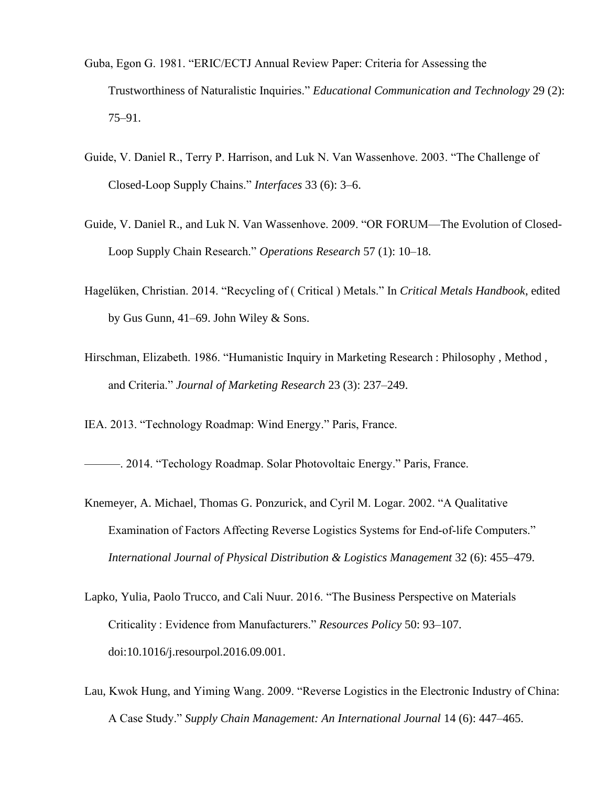- Guba, Egon G. 1981. "ERIC/ECTJ Annual Review Paper: Criteria for Assessing the Trustworthiness of Naturalistic Inquiries." *Educational Communication and Technology* 29 (2): 75–91.
- Guide, V. Daniel R., Terry P. Harrison, and Luk N. Van Wassenhove. 2003. "The Challenge of Closed-Loop Supply Chains." *Interfaces* 33 (6): 3–6.
- Guide, V. Daniel R., and Luk N. Van Wassenhove. 2009. "OR FORUM—The Evolution of Closed-Loop Supply Chain Research." *Operations Research* 57 (1): 10–18.
- Hagelüken, Christian. 2014. "Recycling of ( Critical ) Metals." In *Critical Metals Handbook*, edited by Gus Gunn, 41–69. John Wiley & Sons.
- Hirschman, Elizabeth. 1986. "Humanistic Inquiry in Marketing Research : Philosophy , Method , and Criteria." *Journal of Marketing Research* 23 (3): 237–249.
- IEA. 2013. "Technology Roadmap: Wind Energy." Paris, France.

———. 2014. "Techology Roadmap. Solar Photovoltaic Energy." Paris, France.

- Knemeyer, A. Michael, Thomas G. Ponzurick, and Cyril M. Logar. 2002. "A Qualitative Examination of Factors Affecting Reverse Logistics Systems for End‐of‐life Computers." *International Journal of Physical Distribution & Logistics Management* 32 (6): 455–479.
- Lapko, Yulia, Paolo Trucco, and Cali Nuur. 2016. "The Business Perspective on Materials Criticality : Evidence from Manufacturers." *Resources Policy* 50: 93–107. doi:10.1016/j.resourpol.2016.09.001.
- Lau, Kwok Hung, and Yiming Wang. 2009. "Reverse Logistics in the Electronic Industry of China: A Case Study." *Supply Chain Management: An International Journal* 14 (6): 447–465.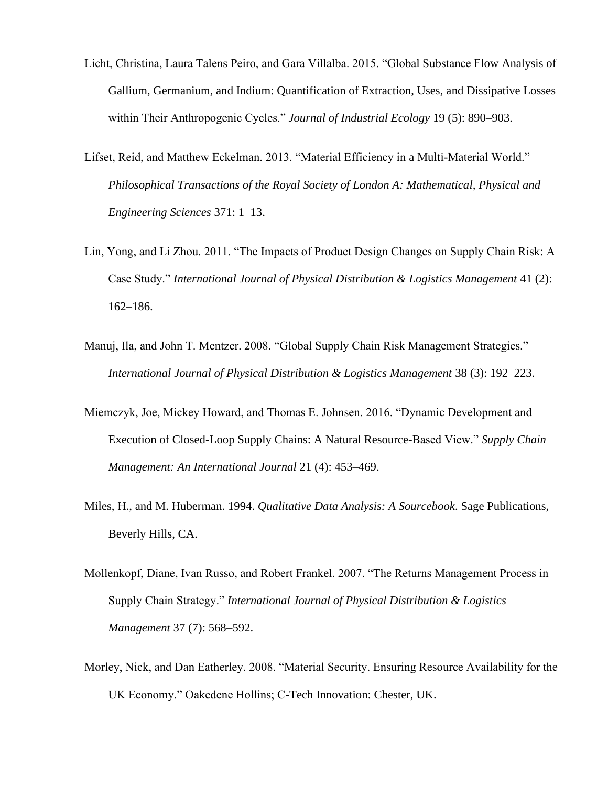- Licht, Christina, Laura Talens Peiro, and Gara Villalba. 2015. "Global Substance Flow Analysis of Gallium, Germanium, and Indium: Quantification of Extraction, Uses, and Dissipative Losses within Their Anthropogenic Cycles." *Journal of Industrial Ecology* 19 (5): 890–903.
- Lifset, Reid, and Matthew Eckelman. 2013. "Material Efficiency in a Multi-Material World." *Philosophical Transactions of the Royal Society of London A: Mathematical, Physical and Engineering Sciences* 371: 1–13.
- Lin, Yong, and Li Zhou. 2011. "The Impacts of Product Design Changes on Supply Chain Risk: A Case Study." *International Journal of Physical Distribution & Logistics Management* 41 (2): 162–186.
- Manuj, Ila, and John T. Mentzer. 2008. "Global Supply Chain Risk Management Strategies." *International Journal of Physical Distribution & Logistics Management* 38 (3): 192–223.
- Miemczyk, Joe, Mickey Howard, and Thomas E. Johnsen. 2016. "Dynamic Development and Execution of Closed-Loop Supply Chains: A Natural Resource-Based View." *Supply Chain Management: An International Journal* 21 (4): 453–469.
- Miles, H., and M. Huberman. 1994. *Qualitative Data Analysis: A Sourcebook*. Sage Publications, Beverly Hills, CA.
- Mollenkopf, Diane, Ivan Russo, and Robert Frankel. 2007. "The Returns Management Process in Supply Chain Strategy." *International Journal of Physical Distribution & Logistics Management* 37 (7): 568–592.
- Morley, Nick, and Dan Eatherley. 2008. "Material Security. Ensuring Resource Availability for the UK Economy." Oakedene Hollins; C-Tech Innovation: Chester, UK.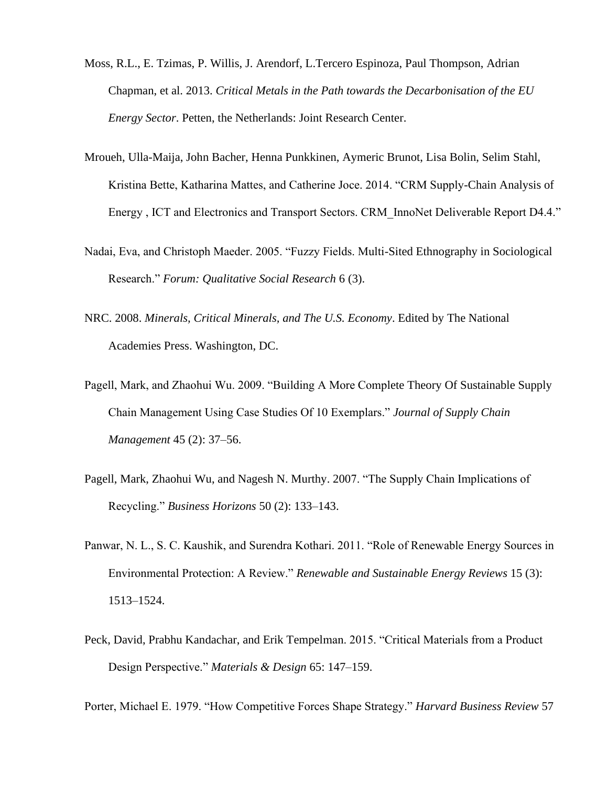- Moss, R.L., E. Tzimas, P. Willis, J. Arendorf, L.Tercero Espinoza, Paul Thompson, Adrian Chapman, et al. 2013. *Critical Metals in the Path towards the Decarbonisation of the EU Energy Sector*. Petten, the Netherlands: Joint Research Center.
- Mroueh, Ulla-Maija, John Bacher, Henna Punkkinen, Aymeric Brunot, Lisa Bolin, Selim Stahl, Kristina Bette, Katharina Mattes, and Catherine Joce. 2014. "CRM Supply-Chain Analysis of Energy , ICT and Electronics and Transport Sectors. CRM\_InnoNet Deliverable Report D4.4."
- Nadai, Eva, and Christoph Maeder. 2005. "Fuzzy Fields. Multi-Sited Ethnography in Sociological Research." *Forum: Qualitative Social Research* 6 (3).
- NRC. 2008. *Minerals, Critical Minerals, and The U.S. Economy*. Edited by The National Academies Press. Washington, DC.
- Pagell, Mark, and Zhaohui Wu. 2009. "Building A More Complete Theory Of Sustainable Supply Chain Management Using Case Studies Of 10 Exemplars." *Journal of Supply Chain Management* 45 (2): 37–56.
- Pagell, Mark, Zhaohui Wu, and Nagesh N. Murthy. 2007. "The Supply Chain Implications of Recycling." *Business Horizons* 50 (2): 133–143.
- Panwar, N. L., S. C. Kaushik, and Surendra Kothari. 2011. "Role of Renewable Energy Sources in Environmental Protection: A Review." *Renewable and Sustainable Energy Reviews* 15 (3): 1513–1524.
- Peck, David, Prabhu Kandachar, and Erik Tempelman. 2015. "Critical Materials from a Product Design Perspective." *Materials & Design* 65: 147–159.

Porter, Michael E. 1979. "How Competitive Forces Shape Strategy." *Harvard Business Review* 57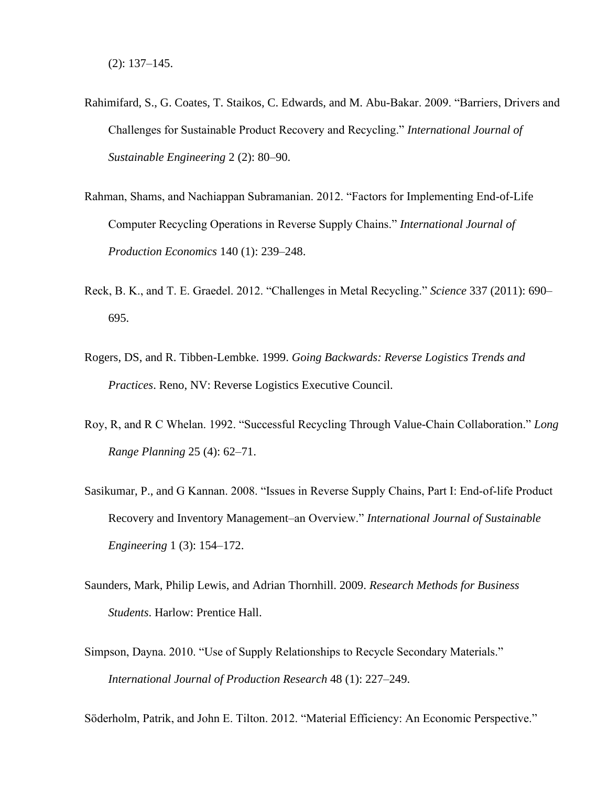- Rahimifard, S., G. Coates, T. Staikos, C. Edwards, and M. Abu-Bakar. 2009. "Barriers, Drivers and Challenges for Sustainable Product Recovery and Recycling." *International Journal of Sustainable Engineering* 2 (2): 80–90.
- Rahman, Shams, and Nachiappan Subramanian. 2012. "Factors for Implementing End-of-Life Computer Recycling Operations in Reverse Supply Chains." *International Journal of Production Economics* 140 (1): 239–248.
- Reck, B. K., and T. E. Graedel. 2012. "Challenges in Metal Recycling." *Science* 337 (2011): 690– 695.
- Rogers, DS, and R. Tibben-Lembke. 1999. *Going Backwards: Reverse Logistics Trends and Practices*. Reno, NV: Reverse Logistics Executive Council.
- Roy, R, and R C Whelan. 1992. "Successful Recycling Through Value-Chain Collaboration." *Long Range Planning* 25 (4): 62–71.
- Sasikumar, P., and G Kannan. 2008. "Issues in Reverse Supply Chains, Part I: End‐of‐life Product Recovery and Inventory Management–an Overview." *International Journal of Sustainable Engineering* 1 (3): 154–172.
- Saunders, Mark, Philip Lewis, and Adrian Thornhill. 2009. *Research Methods for Business Students*. Harlow: Prentice Hall.
- Simpson, Dayna. 2010. "Use of Supply Relationships to Recycle Secondary Materials." *International Journal of Production Research* 48 (1): 227–249.

Söderholm, Patrik, and John E. Tilton. 2012. "Material Efficiency: An Economic Perspective."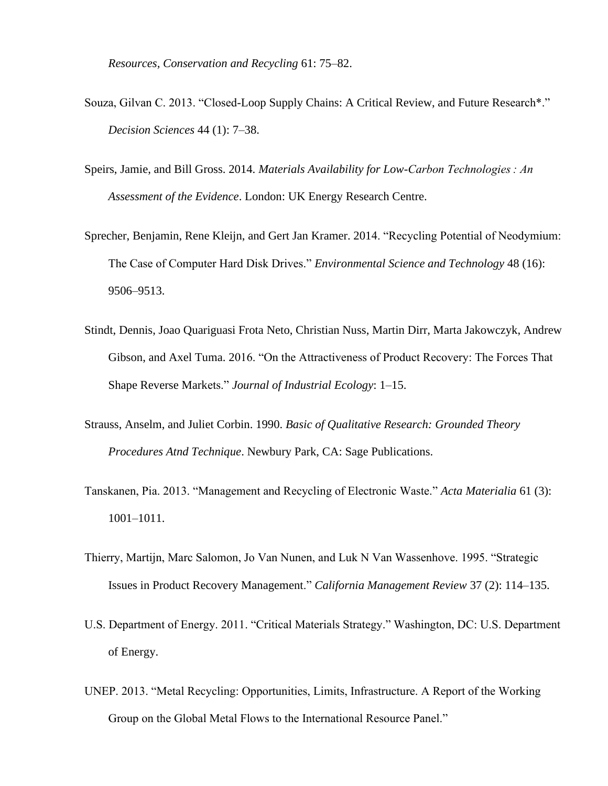*Resources, Conservation and Recycling* 61: 75–82.

- Souza, Gilvan C. 2013. "Closed-Loop Supply Chains: A Critical Review, and Future Research\*." *Decision Sciences* 44 (1): 7–38.
- Speirs, Jamie, and Bill Gross. 2014. *Materials Availability for Low-Carbon Technologies : An Assessment of the Evidence*. London: UK Energy Research Centre.
- Sprecher, Benjamin, Rene Kleijn, and Gert Jan Kramer. 2014. "Recycling Potential of Neodymium: The Case of Computer Hard Disk Drives." *Environmental Science and Technology* 48 (16): 9506–9513.
- Stindt, Dennis, Joao Quariguasi Frota Neto, Christian Nuss, Martin Dirr, Marta Jakowczyk, Andrew Gibson, and Axel Tuma. 2016. "On the Attractiveness of Product Recovery: The Forces That Shape Reverse Markets." *Journal of Industrial Ecology*: 1–15.
- Strauss, Anselm, and Juliet Corbin. 1990. *Basic of Qualitative Research: Grounded Theory Procedures Atnd Technique*. Newbury Park, CA: Sage Publications.
- Tanskanen, Pia. 2013. "Management and Recycling of Electronic Waste." *Acta Materialia* 61 (3): 1001–1011.
- Thierry, Martijn, Marc Salomon, Jo Van Nunen, and Luk N Van Wassenhove. 1995. "Strategic Issues in Product Recovery Management." *California Management Review* 37 (2): 114–135.
- U.S. Department of Energy. 2011. "Critical Materials Strategy." Washington, DC: U.S. Department of Energy.
- UNEP. 2013. "Metal Recycling: Opportunities, Limits, Infrastructure. A Report of the Working Group on the Global Metal Flows to the International Resource Panel."